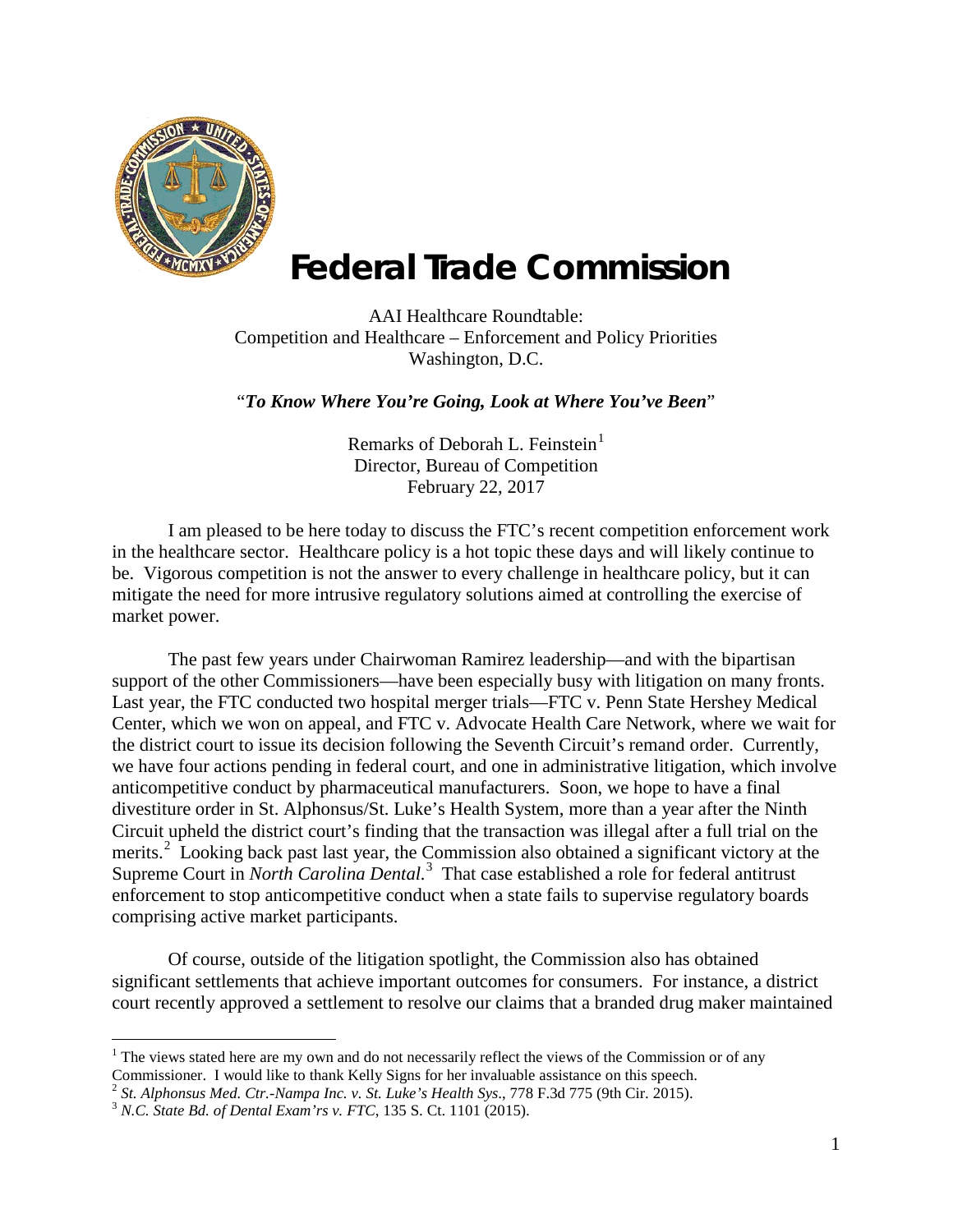

## **Federal Trade Commission**

AAI Healthcare Roundtable: Competition and Healthcare – Enforcement and Policy Priorities Washington, D.C.

"*To Know Where You're Going, Look at Where You've Been*"

Remarks of Deborah L. Feinstein<sup>[1](#page-0-0)</sup> Director, Bureau of Competition February 22, 2017

 I am pleased to be here today to discuss the FTC's recent competition enforcement work in the healthcare sector. Healthcare policy is a hot topic these days and will likely continue to be. Vigorous competition is not the answer to every challenge in healthcare policy, but it can mitigate the need for more intrusive regulatory solutions aimed at controlling the exercise of market power.

 The past few years under Chairwoman Ramirez leadership—and with the bipartisan support of the other Commissioners—have been especially busy with litigation on many fronts. Last year, the FTC conducted two hospital merger trials—FTC v. Penn State Hershey Medical Center, which we won on appeal, and FTC v. Advocate Health Care Network, where we wait for the district court to issue its decision following the Seventh Circuit's remand order. Currently, we have four actions pending in federal court, and one in administrative litigation, which involve anticompetitive conduct by pharmaceutical manufacturers. Soon, we hope to have a final divestiture order in St. Alphonsus/St. Luke's Health System, more than a year after the Ninth Circuit upheld the district court's finding that the transaction was illegal after a full trial on the merits.<sup>[2](#page-0-1)</sup> Looking back past last year, the Commission also obtained a significant victory at the Supreme Court in *North Carolina Dental.*[3](#page-0-2) That case established a role for federal antitrust enforcement to stop anticompetitive conduct when a state fails to supervise regulatory boards comprising active market participants.

 Of course, outside of the litigation spotlight, the Commission also has obtained significant settlements that achieve important outcomes for consumers. For instance, a district court recently approved a settlement to resolve our claims that a branded drug maker maintained

<span id="page-0-0"></span> $<sup>1</sup>$  The views stated here are my own and do not necessarily reflect the views of the Commission or of any</sup> Commissioner. I would like to thank Kelly Signs for her invaluable assistance on this speech.<br>
<sup>2</sup> St. Alphonsus Med. Ctr.-Nampa Inc. v. St. Luke's Health Sys., 778 F.3d 775 (9th Cir. 2015).<br>
<sup>3</sup> N.C. State Bd. of Dental E

<span id="page-0-1"></span>

<span id="page-0-2"></span>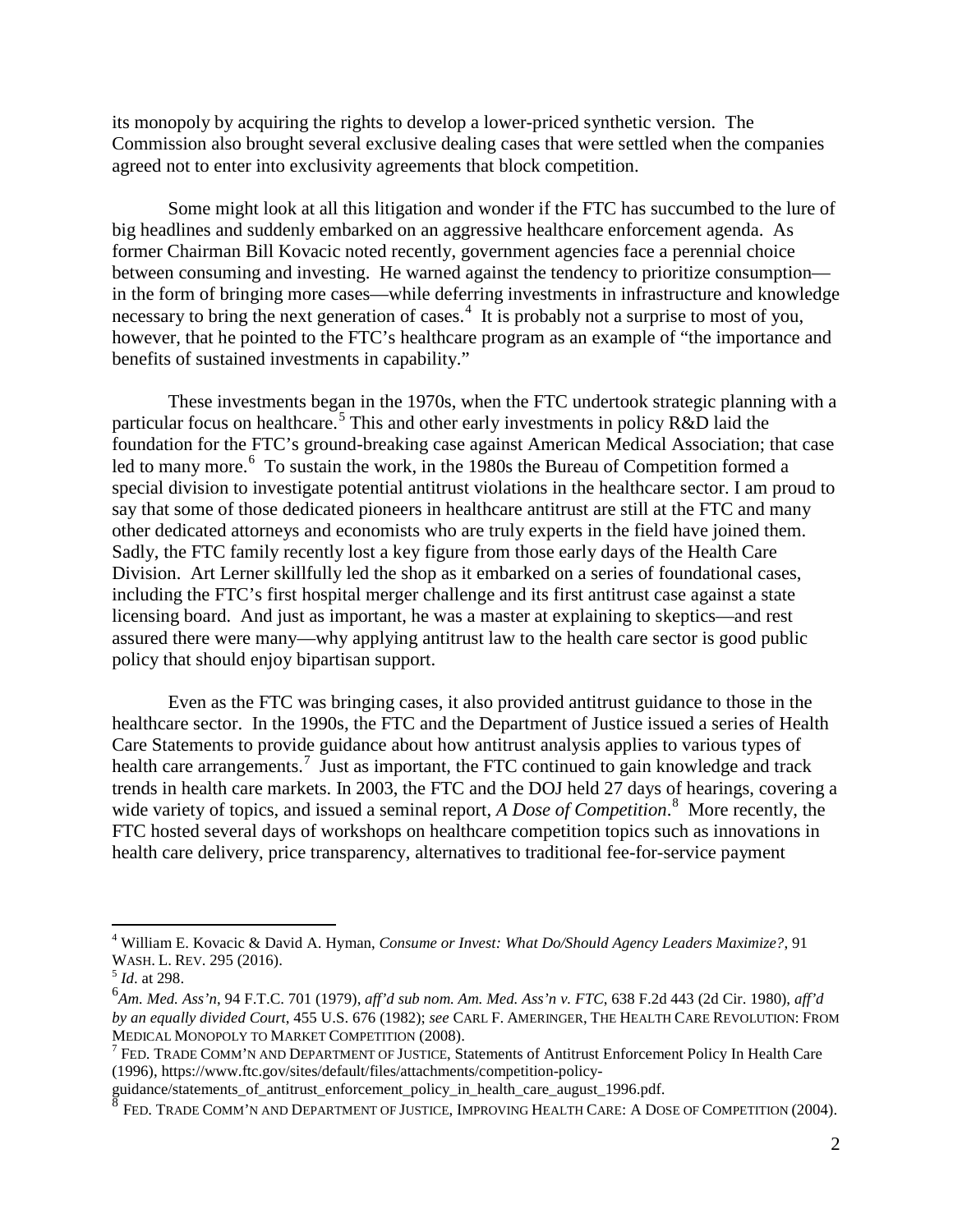its monopoly by acquiring the rights to develop a lower-priced synthetic version. The Commission also brought several exclusive dealing cases that were settled when the companies agreed not to enter into exclusivity agreements that block competition.

 Some might look at all this litigation and wonder if the FTC has succumbed to the lure of big headlines and suddenly embarked on an aggressive healthcare enforcement agenda. As former Chairman Bill Kovacic noted recently, government agencies face a perennial choice between consuming and investing. He warned against the tendency to prioritize consumption in the form of bringing more cases—while deferring investments in infrastructure and knowledge necessary to bring the next generation of cases.<sup>[4](#page-1-0)</sup> It is probably not a surprise to most of you, however, that he pointed to the FTC's healthcare program as an example of "the importance and benefits of sustained investments in capability."

These investments began in the 1970s, when the FTC undertook strategic planning with a particular focus on healthcare.<sup>[5](#page-1-1)</sup> This and other early investments in policy R&D laid the foundation for the FTC's ground-breaking case against American Medical Association; that case led to many more.<sup>[6](#page-1-2)</sup> To sustain the work, in the 1980s the Bureau of Competition formed a special division to investigate potential antitrust violations in the healthcare sector. I am proud to say that some of those dedicated pioneers in healthcare antitrust are still at the FTC and many other dedicated attorneys and economists who are truly experts in the field have joined them. Sadly, the FTC family recently lost a key figure from those early days of the Health Care Division. Art Lerner skillfully led the shop as it embarked on a series of foundational cases, including the FTC's first hospital merger challenge and its first antitrust case against a state licensing board. And just as important, he was a master at explaining to skeptics—and rest assured there were many—why applying antitrust law to the health care sector is good public policy that should enjoy bipartisan support.

Even as the FTC was bringing cases, it also provided antitrust guidance to those in the healthcare sector. In the 1990s, the FTC and the Department of Justice issued a series of Health Care Statements to provide guidance about how antitrust analysis applies to various types of health care arrangements.<sup>[7](#page-1-3)</sup> Just as important, the FTC continued to gain knowledge and track trends in health care markets. In 2003, the FTC and the DOJ held 27 days of hearings, covering a wide variety of topics, and issued a seminal report, *A Dose of Competition*. [8](#page-1-4) More recently, the FTC hosted several days of workshops on healthcare competition topics such as innovations in health care delivery, price transparency, alternatives to traditional fee-for-service payment

<span id="page-1-0"></span><sup>4</sup> William E. Kovacic & David A. Hyman, *Consume or Invest: What Do/Should Agency Leaders Maximize?*, 91 WASH. L. REV. 295 (2016). 5 *Id*. at 298.

<span id="page-1-1"></span>

<span id="page-1-2"></span><sup>6</sup> *Am. Med. Ass'n*, 94 F.T.C. 701 (1979), *aff'd sub nom. Am. Med. Ass'n v. FTC*, 638 F.2d 443 (2d Cir. 1980), *aff'd by an equally divided Court*, 455 U.S. 676 (1982); *see* CARL F. AMERINGER, THE HEALTH CARE REVOLUTION: FROM MEDICAL MONOPOLY TO MARKET COMPETITION (2008).

<span id="page-1-3"></span> $^7$  FED. TRADE COMM'N AND DEPARTMENT OF JUSTICE, Statements of Antitrust Enforcement Policy In Health Care (1996), https://www.ftc.gov/sites/default/files/attachments/competition-policy-

<span id="page-1-4"></span> $\frac{8}{8}$  Fed. Trade Comm'n and Department of Justice, Improving Health Care: A Dose of Competition (2004).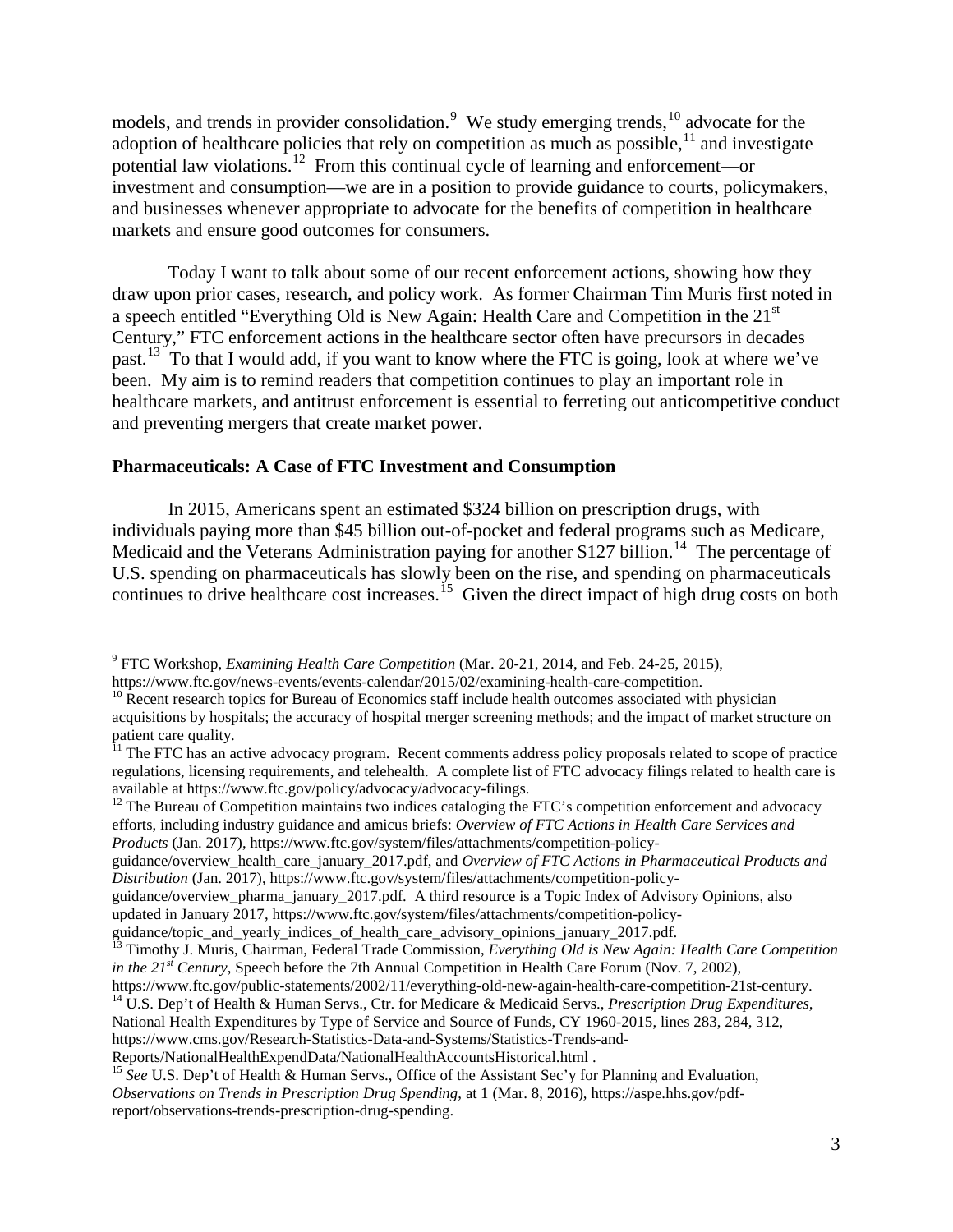models, and trends in provider consolidation.<sup>[9](#page-2-0)</sup> We study emerging trends,<sup>[10](#page-2-1)</sup> advocate for the adoption of healthcare policies that rely on competition as much as possible,  $11$  and investigate potential law violations.[12](#page-2-3) From this continual cycle of learning and enforcement—or investment and consumption—we are in a position to provide guidance to courts, policymakers, and businesses whenever appropriate to advocate for the benefits of competition in healthcare markets and ensure good outcomes for consumers.

 Today I want to talk about some of our recent enforcement actions, showing how they draw upon prior cases, research, and policy work. As former Chairman Tim Muris first noted in a speech entitled "Everything Old is New Again: Health Care and Competition in the 21<sup>st</sup> Century," FTC enforcement actions in the healthcare sector often have precursors in decades past.<sup>13</sup> To that I would add, if you want to know where the FTC is going, look at where we've been. My aim is to remind readers that competition continues to play an important role in healthcare markets, and antitrust enforcement is essential to ferreting out anticompetitive conduct and preventing mergers that create market power.

## **Pharmaceuticals: A Case of FTC Investment and Consumption**

 In 2015, Americans spent an estimated \$324 billion on prescription drugs, with individuals paying more than \$45 billion out-of-pocket and federal programs such as Medicare, Medicaid and the Veterans Administration paying for another \$127 billion.<sup>[14](#page-2-5)</sup> The percentage of U.S. spending on pharmaceuticals has slowly been on the rise, and spending on pharmaceuticals continues to drive healthcare cost increases.<sup>[15](#page-2-6)</sup> Given the direct impact of high drug costs on both

<span id="page-2-3"></span><sup>12</sup> The Bureau of Competition maintains two indices cataloging the FTC's competition enforcement and advocacy efforts, including industry guidance and amicus briefs: *Overview of FTC Actions in Health Care Services and Products* (Jan. 2017), https://www.ftc.gov/system/files/attachments/competition-policy-

guidance/overview\_health\_care\_january\_2017.pdf, and *Overview of FTC Actions in Pharmaceutical Products and Distribution* (Jan. 2017), https://www.ftc.gov/system/files/attachments/competition-policy-

guidance/overview\_pharma\_january\_2017.pdf. A third resource is a Topic Index of Advisory Opinions, also updated in January 2017, https://www.ftc.gov/system/files/attachments/competition-policy-

 $\overline{a}$ <sup>9</sup> FTC Workshop, *Examining Health Care Competition* (Mar. 20-21, 2014, and Feb. 24-25, 2015),

<span id="page-2-1"></span><span id="page-2-0"></span>https://www.ftc.gov/news-events/events-calendar/2015/02/examining-health-care-competition.<br><sup>10</sup> Recent research topics for Bureau of Economics staff include health outcomes associated with physician acquisitions by hospitals; the accuracy of hospital merger screening methods; and the impact of market structure on patient care quality.

<span id="page-2-2"></span><sup>&</sup>lt;sup>11</sup> The FTC has an active advocacy program. Recent comments address policy proposals related to scope of practice regulations, licensing requirements, and telehealth. A complete list of FTC advocacy filings related to health care is available at https://www.ftc.gov/policy/advocacy/advocacy-filings.

<span id="page-2-4"></span>guidance/topic\_and\_yearly\_indices\_of\_health\_care\_advisory\_opinions\_january\_2017.pdf. 13 Timothy J. Muris, Chairman, Federal Trade Commission, *Everything Old is New Again: Health Care Competition in the 21<sup>st</sup> Century*, Speech before the 7th Annual Competition in Health Care Forum (Nov. 7, 2002), https://www.ftc.gov/public-statements/2002/11/everything-old-new-again-health-care-competition-21st-century.

<span id="page-2-5"></span><sup>&</sup>lt;sup>14</sup> U.S. Dep't of Health & Human Servs., Ctr. for Medicare & Medicaid Servs., *Prescription Drug Expenditures*,

National Health Expenditures by Type of Service and Source of Funds, CY 1960-2015, lines 283, 284, 312, https://www.cms.gov/Research-Statistics-Data-and-Systems/Statistics-Trends-and-

Reports/NationalHealthExpendData/NationalHealthAccountsHistorical.html .

<span id="page-2-6"></span><sup>&</sup>lt;sup>15</sup> See U.S. Dep't of Health & Human Servs., Office of the Assistant Sec'y for Planning and Evaluation, *Observations on Trends in Prescription Drug Spending*, at 1 (Mar. 8, 2016), https://aspe.hhs.gov/pdfreport/observations-trends-prescription-drug-spending.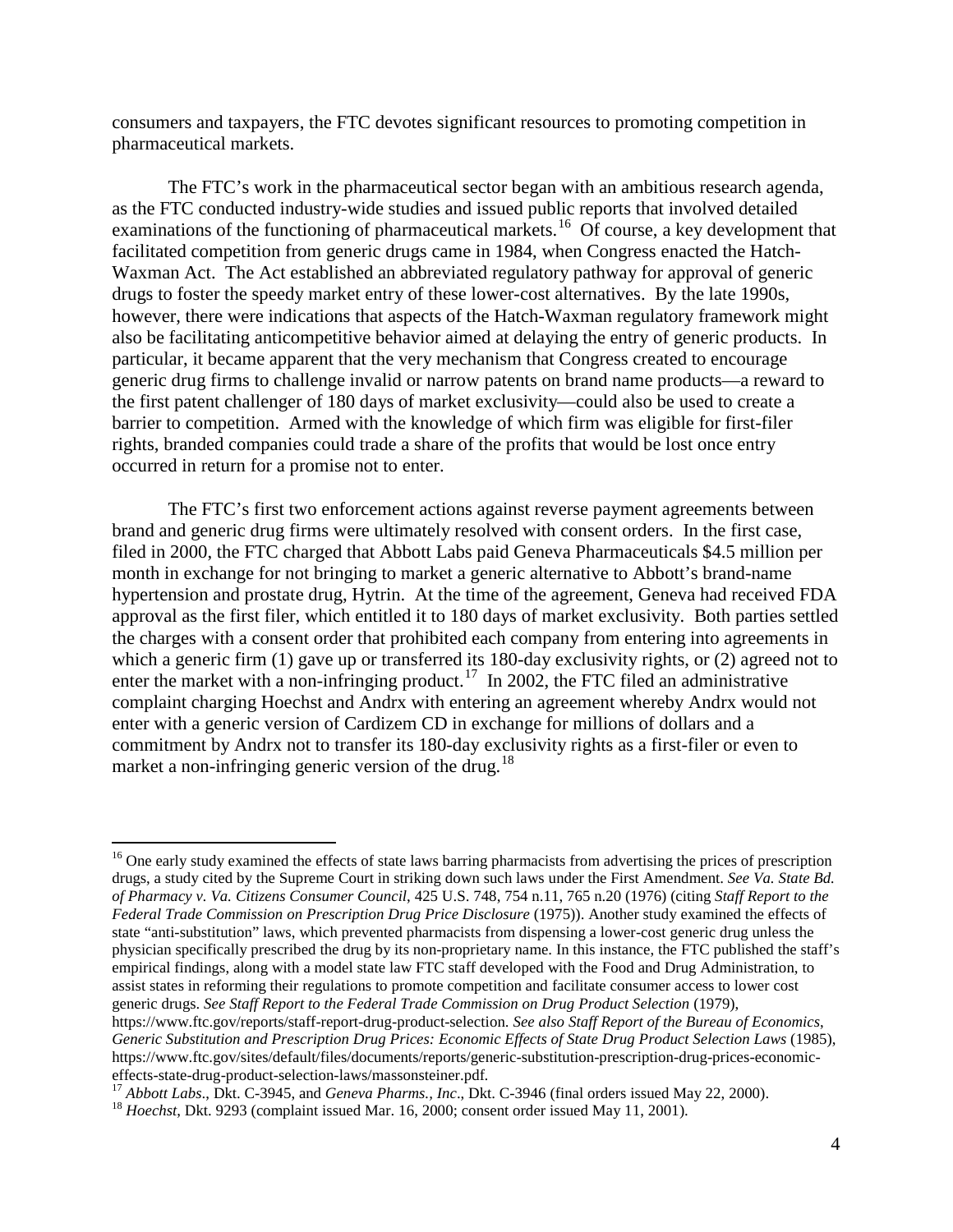consumers and taxpayers, the FTC devotes significant resources to promoting competition in pharmaceutical markets.

The FTC's work in the pharmaceutical sector began with an ambitious research agenda, as the FTC conducted industry-wide studies and issued public reports that involved detailed examinations of the functioning of pharmaceutical markets.<sup>16</sup> Of course, a key development that facilitated competition from generic drugs came in 1984, when Congress enacted the Hatch-Waxman Act. The Act established an abbreviated regulatory pathway for approval of generic drugs to foster the speedy market entry of these lower-cost alternatives. By the late 1990s, however, there were indications that aspects of the Hatch-Waxman regulatory framework might also be facilitating anticompetitive behavior aimed at delaying the entry of generic products. In particular, it became apparent that the very mechanism that Congress created to encourage generic drug firms to challenge invalid or narrow patents on brand name products—a reward to the first patent challenger of 180 days of market exclusivity—could also be used to create a barrier to competition. Armed with the knowledge of which firm was eligible for first-filer rights, branded companies could trade a share of the profits that would be lost once entry occurred in return for a promise not to enter.

The FTC's first two enforcement actions against reverse payment agreements between brand and generic drug firms were ultimately resolved with consent orders. In the first case, filed in 2000, the FTC charged that Abbott Labs paid Geneva Pharmaceuticals \$4.5 million per month in exchange for not bringing to market a generic alternative to Abbott's brand-name hypertension and prostate drug, Hytrin. At the time of the agreement, Geneva had received FDA approval as the first filer, which entitled it to 180 days of market exclusivity. Both parties settled the charges with a consent order that prohibited each company from entering into agreements in which a generic firm (1) gave up or transferred its 180-day exclusivity rights, or (2) agreed not to which a generic  $\lim_{x \to 0} \frac{1}{x}$  is a non-infringing product.<sup>17</sup> In 2002, the FTC filed an administrative complaint charging Hoechst and Andrx with entering an agreement whereby Andrx would not enter with a generic version of Cardizem CD in exchange for millions of dollars and a commitment by Andrx not to transfer its 180-day exclusivity rights as a first-filer or even to market a non-infringing generic version of the drug.<sup>[18](#page-3-2)</sup>

<span id="page-3-0"></span><sup>&</sup>lt;sup>16</sup> One early study examined the effects of state laws barring pharmacists from advertising the prices of prescription drugs, a study cited by the Supreme Court in striking down such laws under the First Amendment. *See Va. State Bd. of Pharmacy v. Va. Citizens Consumer Council*, 425 U.S. 748, 754 n.11, 765 n.20 (1976) (citing *Staff Report to the Federal Trade Commission on Prescription Drug Price Disclosure* (1975)). Another study examined the effects of state "anti-substitution" laws, which prevented pharmacists from dispensing a lower-cost generic drug unless the physician specifically prescribed the drug by its non-proprietary name. In this instance, the FTC published the staff's empirical findings, along with a model state law FTC staff developed with the Food and Drug Administration, to assist states in reforming their regulations to promote competition and facilitate consumer access to lower cost generic drugs. *See Staff Report to the Federal Trade Commission on Drug Product Selection* (1979), https://www.ftc.gov/reports/staff-report-drug-product-selection. *See also Staff Report of the Bureau of Economics*, *Generic Substitution and Prescription Drug Prices: Economic Effects of State Drug Product Selection Laws* (1985), https://www.ftc.gov/sites/default/files/documents/reports/generic-substitution-prescription-drug-prices-economic-

<span id="page-3-1"></span><sup>&</sup>lt;sup>17</sup> *Abbott Labs.*, Dkt. C-3945, and *Geneva Pharms., Inc.*, Dkt. C-3946 (final orders issued May 22, 2000).<br><sup>18</sup> *Hoechst*, Dkt. 9293 (complaint issued Mar. 16, 2000; consent order issued May 11, 2001).

<span id="page-3-2"></span>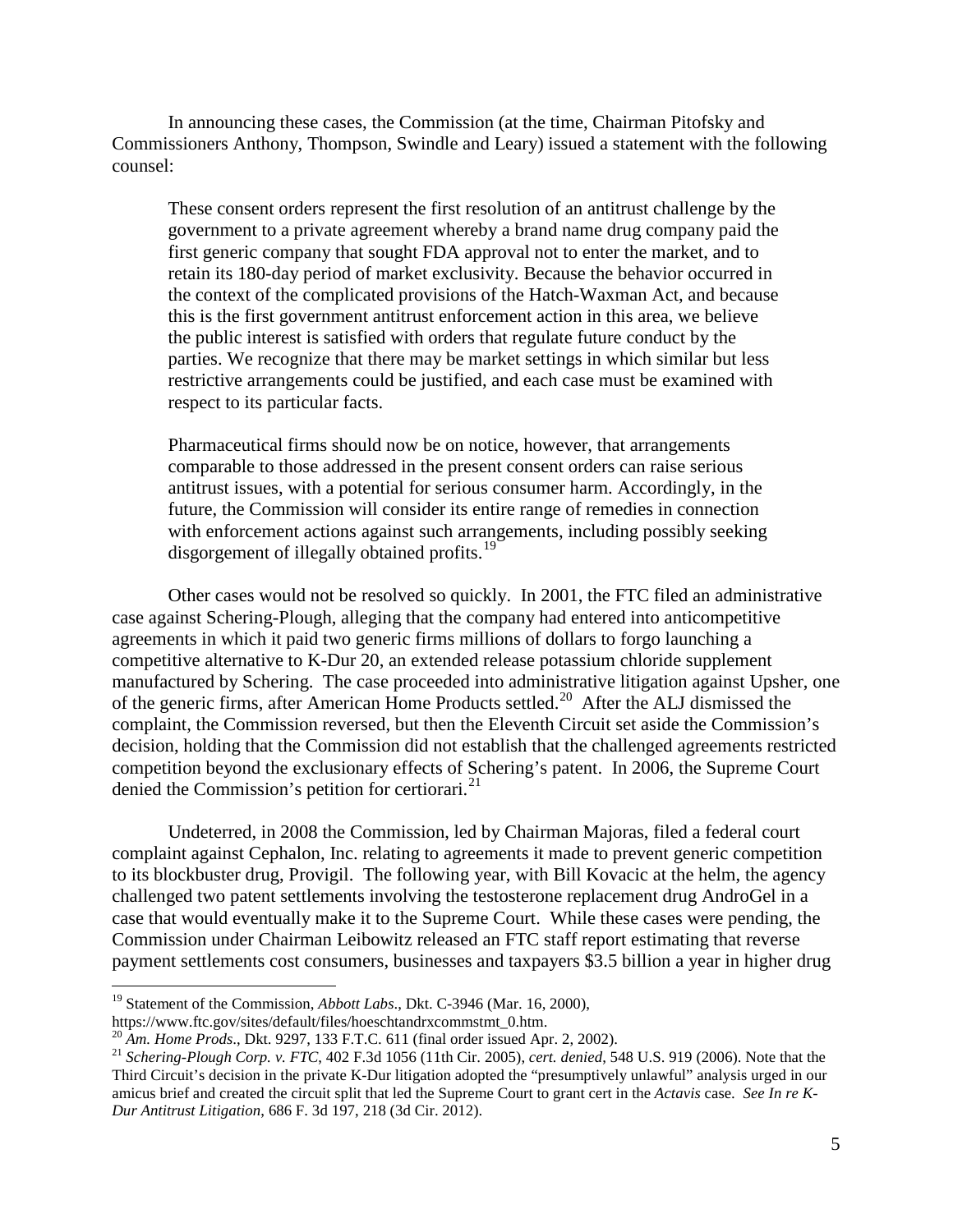In announcing these cases, the Commission (at the time, Chairman Pitofsky and Commissioners Anthony, Thompson, Swindle and Leary) issued a statement with the following counsel:

These consent orders represent the first resolution of an antitrust challenge by the government to a private agreement whereby a brand name drug company paid the first generic company that sought FDA approval not to enter the market, and to retain its 180-day period of market exclusivity. Because the behavior occurred in the context of the complicated provisions of the Hatch-Waxman Act, and because this is the first government antitrust enforcement action in this area, we believe the public interest is satisfied with orders that regulate future conduct by the parties. We recognize that there may be market settings in which similar but less restrictive arrangements could be justified, and each case must be examined with respect to its particular facts.

Pharmaceutical firms should now be on notice, however, that arrangements comparable to those addressed in the present consent orders can raise serious antitrust issues, with a potential for serious consumer harm. Accordingly, in the future, the Commission will consider its entire range of remedies in connection with enforcement actions against such arrangements, including possibly seeking disgorgement of illegally obtained profits.<sup>[19](#page-4-0)</sup>

 Other cases would not be resolved so quickly. In 2001, the FTC filed an administrative case against Schering-Plough, alleging that the company had entered into anticompetitive agreements in which it paid two generic firms millions of dollars to forgo launching a competitive alternative to K-Dur 20, an extended release potassium chloride supplement manufactured by Schering. The case proceeded into administrative litigation against Upsher, one of the generic firms, after American Home Products settled.[20](#page-4-1) After the ALJ dismissed the complaint, the Commission reversed, but then the Eleventh Circuit set aside the Commission's decision, holding that the Commission did not establish that the challenged agreements restricted competition beyond the exclusionary effects of Schering's patent. In 2006, the Supreme Court denied the Commission's petition for certiorari.<sup>[21](#page-4-2)</sup>

 Undeterred, in 2008 the Commission, led by Chairman Majoras, filed a federal court complaint against Cephalon, Inc. relating to agreements it made to prevent generic competition to its blockbuster drug, Provigil. The following year, with Bill Kovacic at the helm, the agency challenged two patent settlements involving the testosterone replacement drug AndroGel in a case that would eventually make it to the Supreme Court. While these cases were pending, the Commission under Chairman Leibowitz released an FTC staff report estimating that reverse payment settlements cost consumers, businesses and taxpayers \$3.5 billion a year in higher drug

<span id="page-4-0"></span><sup>&</sup>lt;sup>19</sup> Statement of the Commission, *Abbott Labs.*, Dkt. C-3946 (Mar. 16, 2000), https://www.ftc.gov/sites/default/files/hoeschtandrxcommstmt 0.htm.

<span id="page-4-2"></span>

<span id="page-4-1"></span><sup>&</sup>lt;sup>20</sup> Am. Home Prods., Dkt. 9297, 133 F.T.C. 611 (final order issued Apr. 2, 2002).<br><sup>21</sup> Schering-Plough Corp. v. FTC, 402 F.3d 1056 (11th Cir. 2005), cert. denied, 548 U.S. 919 (2006). Note that the Third Circuit's decision in the private K-Dur litigation adopted the "presumptively unlawful" analysis urged in our amicus brief and created the circuit split that led the Supreme Court to grant cert in the *Actavis* case. *See In re K-Dur Antitrust Litigation*, 686 F. 3d 197, 218 (3d Cir. 2012).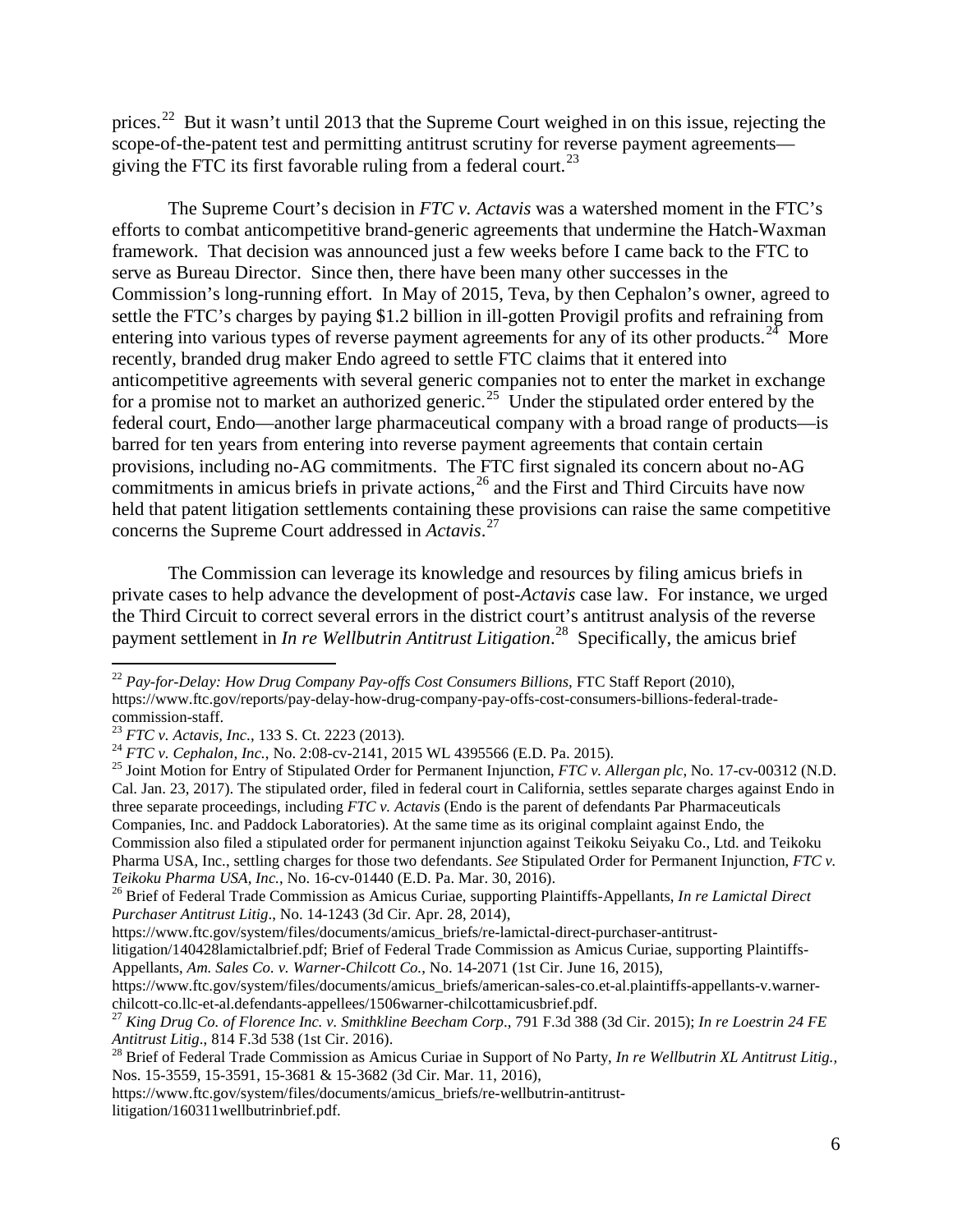prices.<sup>[22](#page-5-0)</sup> But it wasn't until 2013 that the Supreme Court weighed in on this issue, rejecting the scope-of-the-patent test and permitting antitrust scrutiny for reverse payment agreements— giving the FTC its first favorable ruling from a federal court.<sup>[23](#page-5-1)</sup>

 The Supreme Court's decision in *FTC v. Actavis* was a watershed moment in the FTC's efforts to combat anticompetitive brand-generic agreements that undermine the Hatch-Waxman framework. That decision was announced just a few weeks before I came back to the FTC to serve as Bureau Director. Since then, there have been many other successes in the Commission's long-running effort. In May of 2015, Teva, by then Cephalon's owner, agreed to settle the FTC's charges by paying \$1.2 billion in ill-gotten Provigil profits and refraining from entering into various types of reverse payment agreements for any of its other products.<sup>24</sup> More recently, branded drug maker Endo agreed to settle FTC claims that it entered into anticompetitive agreements with several generic companies not to enter the market in exchange for a promise not to market an authorized generic.<sup>25</sup> Under the stipulated order entered by the federal court, Endo—another large pharmaceutical company with a broad range of products—is barred for ten years from entering into reverse payment agreements that contain certain provisions, including no-AG commitments. The FTC first signaled its concern about no-AG commitments in amicus briefs in private actions,  $2<sup>6</sup>$  and the First and Third Circuits have now held that patent litigation settlements containing these provisions can raise the same competitive concerns the Supreme Court addressed in *Actavis*. [27](#page-5-5)

 The Commission can leverage its knowledge and resources by filing amicus briefs in private cases to help advance the development of post-*Actavis* case law. For instance, we urged the Third Circuit to correct several errors in the district court's antitrust analysis of the reverse payment settlement in *In re Wellbutrin Antitrust Litigation*. [28](#page-5-6) Specifically, the amicus brief

<span id="page-5-0"></span><sup>&</sup>lt;sup>22</sup> Pay-for-Delay: How Drug Company Pay-offs Cost Consumers Billions, FTC Staff Report (2010), https://www.ftc.gov/reports/pay-delay-how-drug-company-pay-offs-cost-consumers-billions-federal-trade-

<span id="page-5-3"></span><span id="page-5-2"></span>

<span id="page-5-1"></span><sup>&</sup>lt;sup>23</sup> FTC v. Actavis, Inc., 133 S. Ct. 2223 (2013).<br><sup>24</sup> FTC v. Cephalon, Inc., No. 2:08-cv-2141, 2015 WL 4395566 (E.D. Pa. 2015).<br><sup>25</sup> Joint Motion for Entry of Stipulated Order for Permanent Injunction, FTC v. Allergan p Cal. Jan. 23, 2017). The stipulated order, filed in federal court in California, settles separate charges against Endo in three separate proceedings, including *FTC v. Actavis* (Endo is the parent of defendants Par Pharmaceuticals Companies, Inc. and Paddock Laboratories). At the same time as its original complaint against Endo, the Commission also filed a stipulated order for permanent injunction against Teikoku Seiyaku Co., Ltd. and Teikoku Pharma USA, Inc., settling charges for those two defendants. *See* Stipulated Order for Permanent Injunction, *FTC v. Teikoku Pharma USA*, *Inc.*, No. 16-cv-01440 (E.D. Pa. Mar. 30, 2016).

<span id="page-5-4"></span><sup>&</sup>lt;sup>26</sup> Brief of Federal Trade Commission as Amicus Curiae, supporting Plaintiffs-Appellants, *In re Lamictal Direct Purchaser Antitrust Litig*., No. 14-1243 (3d Cir. Apr. 28, 2014),

https://www.ftc.gov/system/files/documents/amicus\_briefs/re-lamictal-direct-purchaser-antitrust-

litigation/140428lamictalbrief.pdf; Brief of Federal Trade Commission as Amicus Curiae, supporting Plaintiffs-Appellants, *Am. Sales Co. v. Warner-Chilcott Co.*, No. 14-2071 (1st Cir. June 16, 2015),

https://www.ftc.gov/system/files/documents/amicus\_briefs/american-sales-co.et-al.plaintiffs-appellants-v.warner-

<span id="page-5-5"></span><sup>&</sup>lt;sup>27</sup> King Drug Co. of Florence Inc. v. Smithkline Beecham Corp., 791 F.3d 388 (3d Cir. 2015); *In re Loestrin 24 FE Antitrust Litig.*, 814 F.3d 538 (1st Cir. 2016).

<span id="page-5-6"></span><sup>&</sup>lt;sup>28</sup> Brief of Federal Trade Commission as Amicus Curiae in Support of No Party, *In re Wellbutrin XL Antitrust Litig.*, Nos. 15-3559, 15-3591, 15-3681 & 15-3682 (3d Cir. Mar. 11, 2016),

https://www.ftc.gov/system/files/documents/amicus\_briefs/re-wellbutrin-antitrust-

litigation/160311wellbutrinbrief.pdf.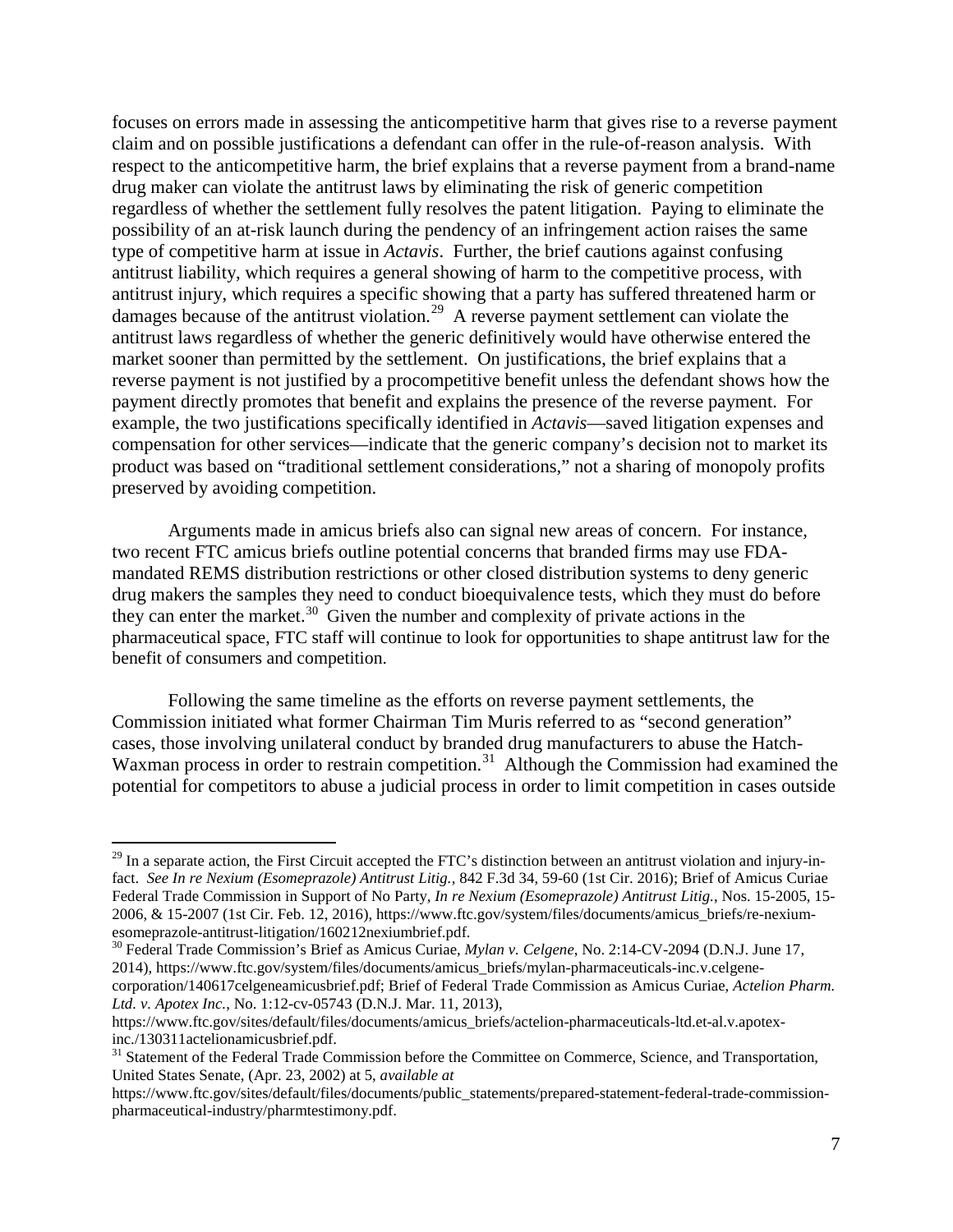focuses on errors made in assessing the anticompetitive harm that gives rise to a reverse payment claim and on possible justifications a defendant can offer in the rule-of-reason analysis. With respect to the anticompetitive harm, the brief explains that a reverse payment from a brand-name drug maker can violate the antitrust laws by eliminating the risk of generic competition regardless of whether the settlement fully resolves the patent litigation. Paying to eliminate the possibility of an at-risk launch during the pendency of an infringement action raises the same type of competitive harm at issue in *Actavis*. Further, the brief cautions against confusing antitrust liability, which requires a general showing of harm to the competitive process, with antitrust injury, which requires a specific showing that a party has suffered threatened harm or damages because of the antitrust violation.<sup>[29](#page-6-0)</sup> A reverse payment settlement can violate the antitrust laws regardless of whether the generic definitively would have otherwise entered the market sooner than permitted by the settlement. On justifications, the brief explains that a reverse payment is not justified by a procompetitive benefit unless the defendant shows how the payment directly promotes that benefit and explains the presence of the reverse payment. For example, the two justifications specifically identified in *Actavis*—saved litigation expenses and compensation for other services—indicate that the generic company's decision not to market its product was based on "traditional settlement considerations," not a sharing of monopoly profits preserved by avoiding competition.

 Arguments made in amicus briefs also can signal new areas of concern. For instance, two recent FTC amicus briefs outline potential concerns that branded firms may use FDAmandated REMS distribution restrictions or other closed distribution systems to deny generic drug makers the samples they need to conduct bioequivalence tests, which they must do before they can enter the market.[30](#page-6-1) Given the number and complexity of private actions in the pharmaceutical space, FTC staff will continue to look for opportunities to shape antitrust law for the benefit of consumers and competition.

Following the same timeline as the efforts on reverse payment settlements, the Commission initiated what former Chairman Tim Muris referred to as "second generation" cases, those involving unilateral conduct by branded drug manufacturers to abuse the Hatch-Waxman process in order to restrain competition.<sup>[31](#page-6-2)</sup> Although the Commission had examined the potential for competitors to abuse a judicial process in order to limit competition in cases outside

 $\overline{a}$ 

<span id="page-6-1"></span><sup>30</sup> Federal Trade Commission's Brief as Amicus Curiae, *Mylan v. Celgene*, No. 2:14-CV-2094 (D.N.J. June 17, 2014), https://www.ftc.gov/system/files/documents/amicus\_briefs/mylan-pharmaceuticals-inc.v.celgenecorporation/140617celgeneamicusbrief.pdf; Brief of Federal Trade Commission as Amicus Curiae, *Actelion Pharm. Ltd. v. Apotex Inc.*, No. 1:12-cv-05743 (D.N.J. Mar. 11, 2013),

<span id="page-6-0"></span> $29$  In a separate action, the First Circuit accepted the FTC's distinction between an antitrust violation and injury-infact. *See In re Nexium (Esomeprazole) Antitrust Litig.*, 842 F.3d 34, 59-60 (1st Cir. 2016); Brief of Amicus Curiae Federal Trade Commission in Support of No Party, *In re Nexium (Esomeprazole) Antitrust Litig.*, Nos. 15-2005, 15- 2006, & 15-2007 (1st Cir. Feb. 12, 2016), https://www.ftc.gov/system/files/documents/amicus\_briefs/re-nexium-<br>esomeprazole-antitrust-litigation/160212nexiumbrief.pdf.

https://www.ftc.gov/sites/default/files/documents/amicus\_briefs/actelion-pharmaceuticals-ltd.et-al.v.apotexinc./130311actelionamicusbrief.pdf.<br><sup>31</sup> Statement of the Federal Trade Commission before the Committee on Commerce, Science, and Transportation,

<span id="page-6-2"></span>United States Senate, (Apr. 23, 2002) at 5, *available at*

https://www.ftc.gov/sites/default/files/documents/public\_statements/prepared-statement-federal-trade-commissionpharmaceutical-industry/pharmtestimony.pdf.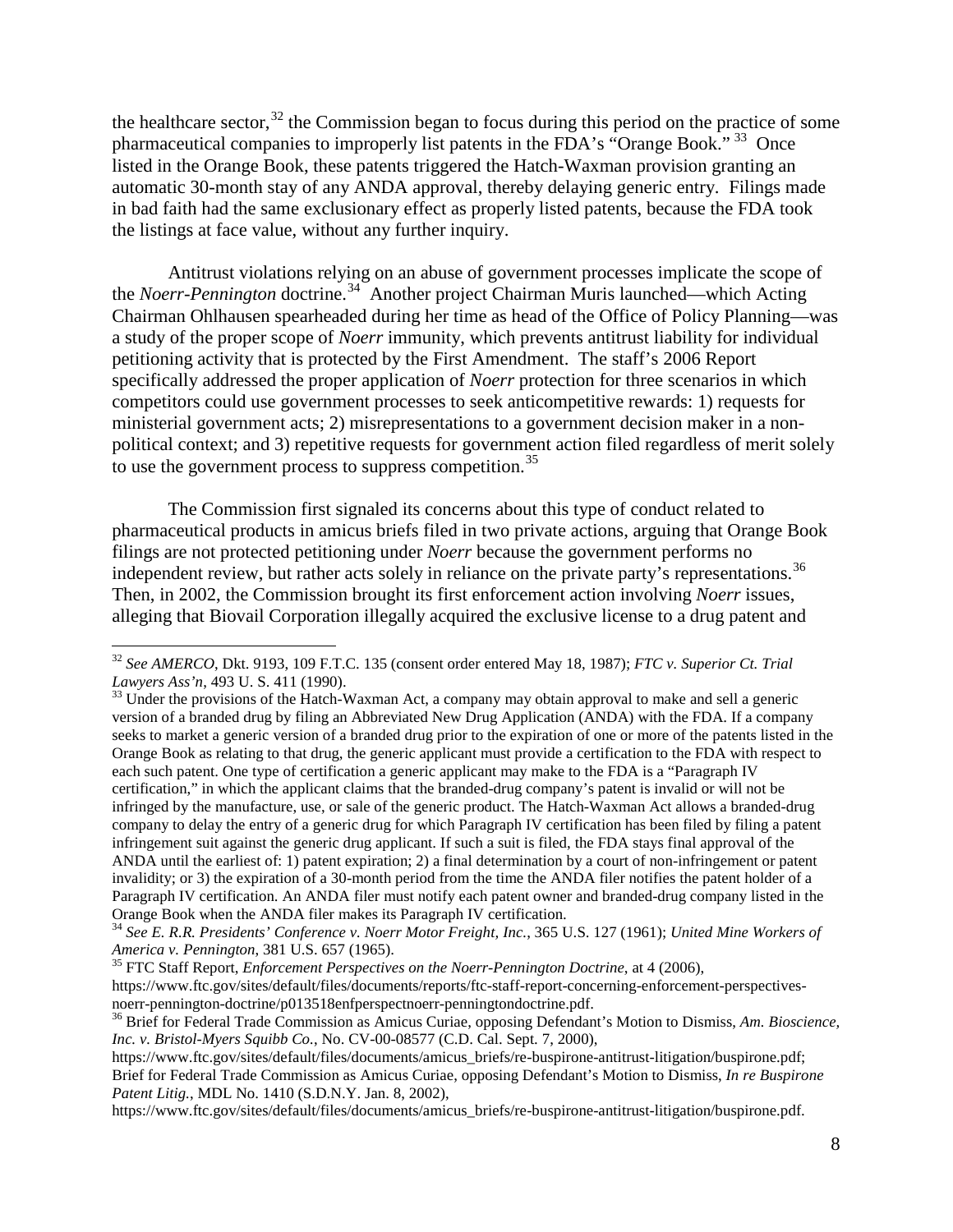the healthcare sector,  $32$  the Commission began to focus during this period on the practice of some pharmaceutical companies to improperly list patents in the FDA's "Orange Book." [33](#page-7-1) Once listed in the Orange Book, these patents triggered the Hatch-Waxman provision granting an automatic 30-month stay of any ANDA approval, thereby delaying generic entry. Filings made in bad faith had the same exclusionary effect as properly listed patents, because the FDA took the listings at face value, without any further inquiry.

Antitrust violations relying on an abuse of government processes implicate the scope of the *Noerr-Pennington* doctrine.<sup>34</sup> Another project Chairman Muris launched—which Acting Chairman Ohlhausen spearheaded during her time as head of the Office of Policy Planning—was a study of the proper scope of *Noerr* immunity, which prevents antitrust liability for individual petitioning activity that is protected by the First Amendment. The staff's 2006 Report specifically addressed the proper application of *Noerr* protection for three scenarios in which competitors could use government processes to seek anticompetitive rewards: 1) requests for ministerial government acts; 2) misrepresentations to a government decision maker in a nonpolitical context; and 3) repetitive requests for government action filed regardless of merit solely to use the government process to suppress competition.<sup>35</sup>

The Commission first signaled its concerns about this type of conduct related to pharmaceutical products in amicus briefs filed in two private actions, arguing that Orange Book filings are not protected petitioning under *Noerr* because the government performs no independent review, but rather acts solely in reliance on the private party's representations.<sup>[36](#page-7-4)</sup> Then, in 2002, the Commission brought its first enforcement action involving *Noerr* issues, alleging that Biovail Corporation illegally acquired the exclusive license to a drug patent and

<span id="page-7-2"></span>Orange Book when the ANDA filer makes its Paragraph IV certification.<br><sup>34</sup> See E. R.R. Presidents' Conference v. Noerr Motor Freight, Inc., 365 U.S. 127 (1961); *United Mine Workers of*<br>America v. Pennington, 381 U.S. 657

<span id="page-7-3"></span><sup>35</sup> FTC Staff Report, *Enforcement Perspectives on the Noerr-Pennington Doctrine*, at 4 (2006), https://www.ftc.gov/sites/default/files/documents/reports/ftc-staff-report-concerning-enforcement-perspectivesnoerr-pennington-doctrine/p013518enfperspectnoerr-penningtondoctrine.pdf. <sup>36</sup> Brief for Federal Trade Commission as Amicus Curiae, opposing Defendant's Motion to Dismiss, *Am. Bioscience,* 

https://www.ftc.gov/sites/default/files/documents/amicus\_briefs/re-buspirone-antitrust-litigation/buspirone.pdf.

<span id="page-7-0"></span> <sup>32</sup> *See AMERCO*, Dkt. 9193, 109 F.T.C. 135 (consent order entered May 18, 1987); *FTC v. Superior Ct. Trial Lawyers Ass'n*, 493 U. S. 411 (1990).<br><sup>33</sup> Under the provisions of the Hatch-Waxman Act, a company may obtain approval to make and sell a generic

<span id="page-7-1"></span>version of a branded drug by filing an Abbreviated New Drug Application (ANDA) with the FDA. If a company seeks to market a generic version of a branded drug prior to the expiration of one or more of the patents listed in the Orange Book as relating to that drug, the generic applicant must provide a certification to the FDA with respect to each such patent. One type of certification a generic applicant may make to the FDA is a "Paragraph IV certification," in which the applicant claims that the branded-drug company's patent is invalid or will not be infringed by the manufacture, use, or sale of the generic product. The Hatch-Waxman Act allows a branded-drug company to delay the entry of a generic drug for which Paragraph IV certification has been filed by filing a patent infringement suit against the generic drug applicant. If such a suit is filed, the FDA stays final approval of the ANDA until the earliest of: 1) patent expiration; 2) a final determination by a court of non-infringement or patent invalidity; or 3) the expiration of a 30-month period from the time the ANDA filer notifies the patent holder of a Paragraph IV certification. An ANDA filer must notify each patent owner and branded-drug company listed in the

<span id="page-7-4"></span>*Inc. v. Bristol-Myers Squibb Co.*, No. CV-00-08577 (C.D. Cal. Sept. 7, 2000),

https://www.ftc.gov/sites/default/files/documents/amicus\_briefs/re-buspirone-antitrust-litigation/buspirone.pdf; Brief for Federal Trade Commission as Amicus Curiae, opposing Defendant's Motion to Dismiss, *In re Buspirone Patent Litig.*, MDL No. 1410 (S.D.N.Y. Jan. 8, 2002),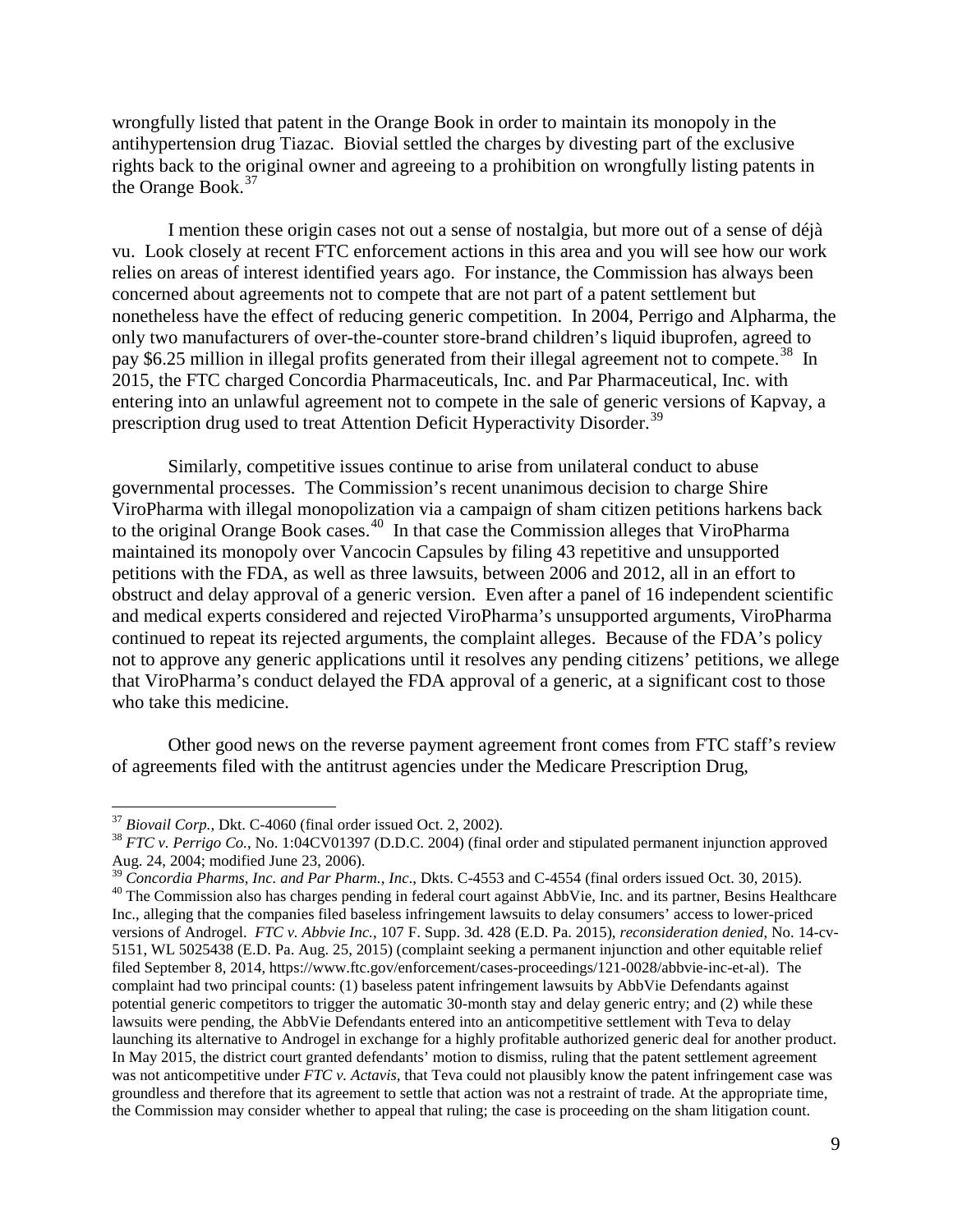wrongfully listed that patent in the Orange Book in order to maintain its monopoly in the antihypertension drug Tiazac. Biovial settled the charges by divesting part of the exclusive rights back to the original owner and agreeing to a prohibition on wrongfully listing patents in the Orange Book. [37](#page-8-0) 

 I mention these origin cases not out a sense of nostalgia, but more out of a sense of déjà vu. Look closely at recent FTC enforcement actions in this area and you will see how our work relies on areas of interest identified years ago. For instance, the Commission has always been concerned about agreements not to compete that are not part of a patent settlement but nonetheless have the effect of reducing generic competition. In 2004, Perrigo and Alpharma, the only two manufacturers of over-the-counter store-brand children's liquid ibuprofen, agreed to pay \$6.25 million in illegal profits generated from their illegal agreement not to compete.<sup>38</sup> In 2015, the FTC charged Concordia Pharmaceuticals, Inc. and Par Pharmaceutical, Inc. with entering into an unlawful agreement not to compete in the sale of generic versions of Kapvay, a prescription drug used to treat Attention Deficit Hyperactivity Disorder.<sup>[39](#page-8-2)</sup>

Similarly, competitive issues continue to arise from unilateral conduct to abuse governmental processes. The Commission's recent unanimous decision to charge Shire ViroPharma with illegal monopolization via a campaign of sham citizen petitions harkens back to the original Orange Book cases.<sup>40</sup> In that case the Commission alleges that ViroPharma maintained its monopoly over Vancocin Capsules by filing 43 repetitive and unsupported petitions with the FDA, as well as three lawsuits, between 2006 and 2012, all in an effort to obstruct and delay approval of a generic version. Even after a panel of 16 independent scientific and medical experts considered and rejected ViroPharma's unsupported arguments, ViroPharma continued to repeat its rejected arguments, the complaint alleges. Because of the FDA's policy not to approve any generic applications until it resolves any pending citizens' petitions, we allege that ViroPharma's conduct delayed the FDA approval of a generic, at a significant cost to those who take this medicine.

 Other good news on the reverse payment agreement front comes from FTC staff's review of agreements filed with the antitrust agencies under the Medicare Prescription Drug,

<span id="page-8-0"></span> $37$  Biovail Corp., Dkt. C-4060 (final order issued Oct. 2, 2002).

<span id="page-8-1"></span><sup>&</sup>lt;sup>38</sup> *FTC v. Perrigo Co.*, No. 1:04CV01397 (D.D.C. 2004) (final order and stipulated permanent injunction approved Aug. 24, 2004; modified June 23, 2006).<br><sup>39</sup> Concordia Pharms, Inc. and Par Pharm., Inc., Dkts. C-4553 and C-4554 (final orders issued Oct. 30, 2015).

<span id="page-8-3"></span><span id="page-8-2"></span><sup>&</sup>lt;sup>40</sup> The Commission also has charges pending in federal court against AbbVie, Inc. and its partner, Besins Healthcare Inc., alleging that the companies filed baseless infringement lawsuits to delay consumers' access to lower-priced versions of Androgel. *FTC v. Abbvie Inc.*, 107 F. Supp. 3d. 428 (E.D. Pa. 2015), *reconsideration denied*, No. 14-cv-5151, WL 5025438 (E.D. Pa. Aug. 25, 2015) (complaint seeking a permanent injunction and other equitable relief filed September 8, 2014, https://www.ftc.gov/enforcement/cases-proceedings/121-0028/abbvie-inc-et-al). The complaint had two principal counts: (1) baseless patent infringement lawsuits by AbbVie Defendants against potential generic competitors to trigger the automatic 30-month stay and delay generic entry; and (2) while these lawsuits were pending, the AbbVie Defendants entered into an anticompetitive settlement with Teva to delay launching its alternative to Androgel in exchange for a highly profitable authorized generic deal for another product. In May 2015, the district court granted defendants' motion to dismiss, ruling that the patent settlement agreement was not anticompetitive under *FTC v. Actavis,* that Teva could not plausibly know the patent infringement case was groundless and therefore that its agreement to settle that action was not a restraint of trade*.* At the appropriate time, the Commission may consider whether to appeal that ruling; the case is proceeding on the sham litigation count.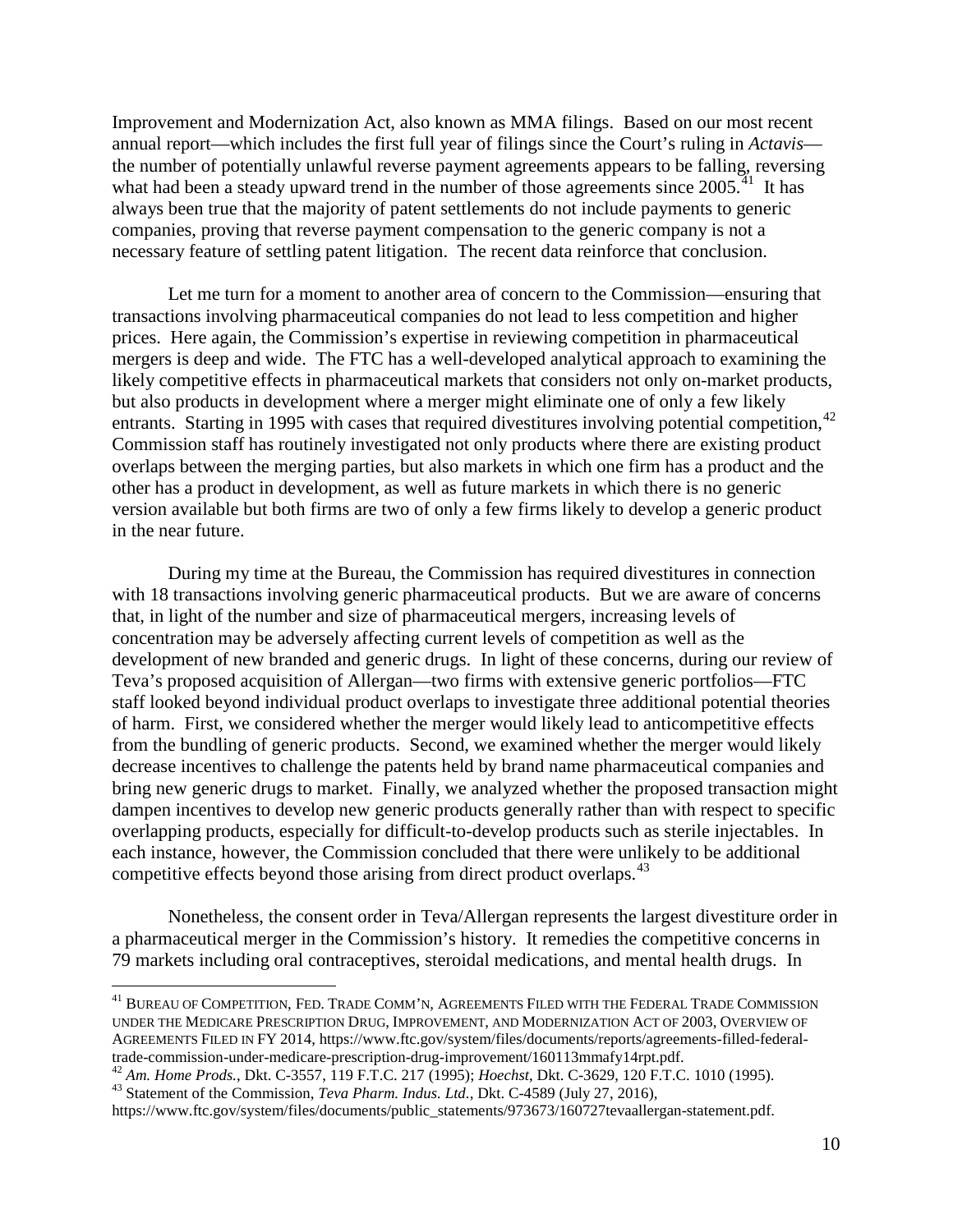Improvement and Modernization Act, also known as MMA filings. Based on our most recent annual report—which includes the first full year of filings since the Court's ruling in *Actavis* the number of potentially unlawful reverse payment agreements appears to be falling, reversing what had been a steady upward trend in the number of those agreements since  $2005.<sup>41</sup>$  $2005.<sup>41</sup>$  $2005.<sup>41</sup>$  It has always been true that the majority of patent settlements do not include payments to generic companies, proving that reverse payment compensation to the generic company is not a necessary feature of settling patent litigation. The recent data reinforce that conclusion.

Let me turn for a moment to another area of concern to the Commission—ensuring that transactions involving pharmaceutical companies do not lead to less competition and higher prices. Here again, the Commission's expertise in reviewing competition in pharmaceutical mergers is deep and wide. The FTC has a well-developed analytical approach to examining the likely competitive effects in pharmaceutical markets that considers not only on-market products, but also products in development where a merger might eliminate one of only a few likely entrants. Starting in 1995 with cases that required divestitures involving potential competition,<sup>[42](#page-9-1)</sup> Commission staff has routinely investigated not only products where there are existing product overlaps between the merging parties, but also markets in which one firm has a product and the other has a product in development, as well as future markets in which there is no generic version available but both firms are two of only a few firms likely to develop a generic product in the near future.

During my time at the Bureau, the Commission has required divestitures in connection with 18 transactions involving generic pharmaceutical products. But we are aware of concerns that, in light of the number and size of pharmaceutical mergers, increasing levels of concentration may be adversely affecting current levels of competition as well as the development of new branded and generic drugs. In light of these concerns, during our review of Teva's proposed acquisition of Allergan—two firms with extensive generic portfolios—FTC staff looked beyond individual product overlaps to investigate three additional potential theories of harm. First, we considered whether the merger would likely lead to anticompetitive effects from the bundling of generic products. Second, we examined whether the merger would likely decrease incentives to challenge the patents held by brand name pharmaceutical companies and bring new generic drugs to market. Finally, we analyzed whether the proposed transaction might dampen incentives to develop new generic products generally rather than with respect to specific overlapping products, especially for difficult-to-develop products such as sterile injectables. In each instance, however, the Commission concluded that there were unlikely to be additional competitive effects beyond those arising from direct product overlaps.<sup>[43](#page-9-2)</sup>

Nonetheless, the consent order in Teva/Allergan represents the largest divestiture order in a pharmaceutical merger in the Commission's history. It remedies the competitive concerns in 79 markets including oral contraceptives, steroidal medications, and mental health drugs. In

<span id="page-9-0"></span> $^{41}$  BUREAU OF COMPETITION, FED. TRADE COMM'N, AGREEMENTS FILED WITH THE FEDERAL TRADE COMMISSION UNDER THE MEDICARE PRESCRIPTION DRUG, IMPROVEMENT, AND MODERNIZATION ACT OF 2003, OVERVIEW OF AGREEMENTS FILED IN FY 2014, https://www.ftc.gov/system/files/documents/reports/agreements-filled-federal-

<span id="page-9-1"></span>trade-commission-under-medicare-prescription-drug-improvement/160113mmafy14rpt.pdf.<br><sup>42</sup> Am. Home Prods., Dkt. C-3557, 119 F.T.C. 217 (1995); Hoechst, Dkt. C-3629, 120 F.T.C. 1010 (1995).<br><sup>43</sup> Statement of the Commission,

<span id="page-9-2"></span>https://www.ftc.gov/system/files/documents/public\_statements/973673/160727tevaallergan-statement.pdf.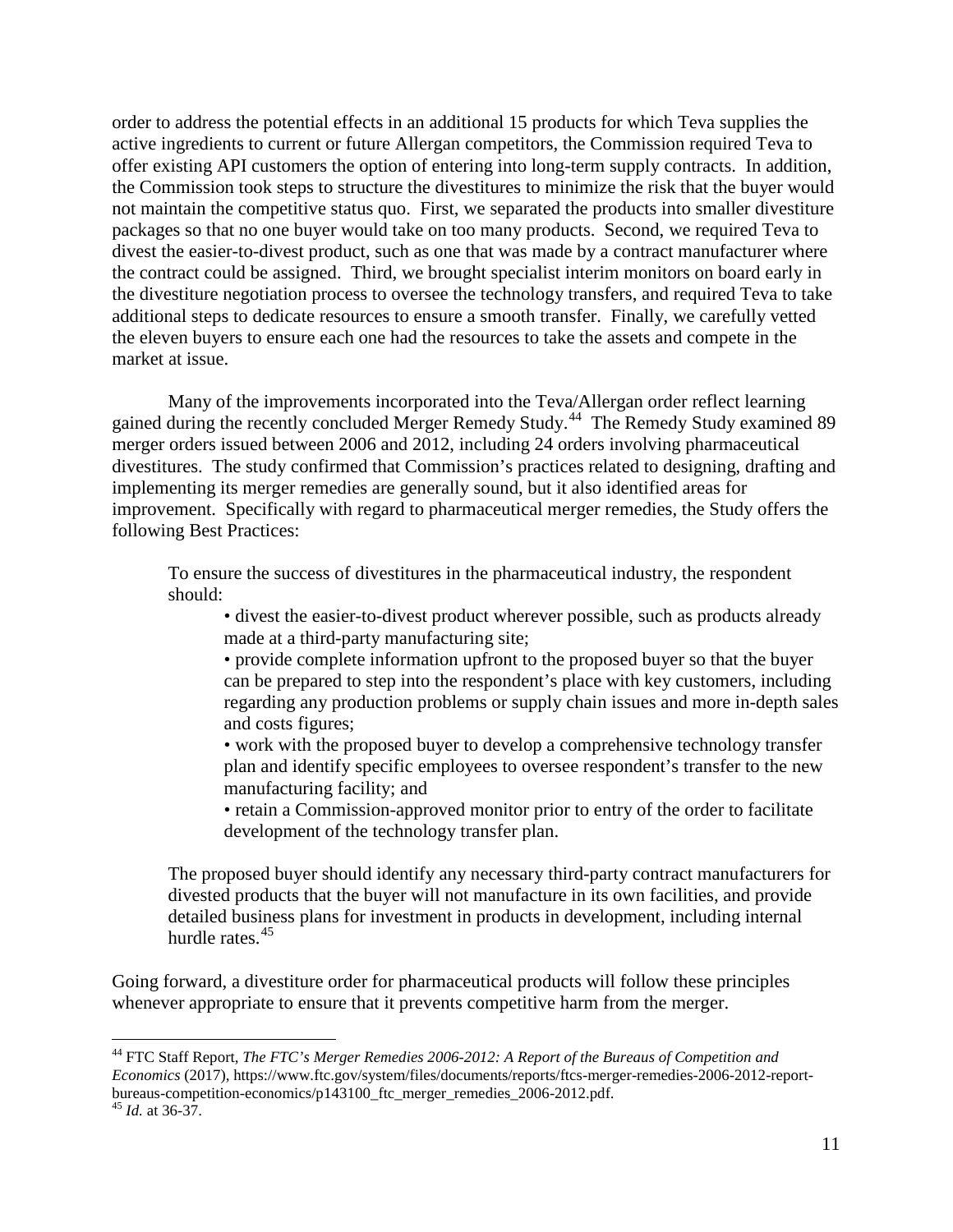order to address the potential effects in an additional 15 products for which Teva supplies the active ingredients to current or future Allergan competitors, the Commission required Teva to offer existing API customers the option of entering into long-term supply contracts. In addition, the Commission took steps to structure the divestitures to minimize the risk that the buyer would not maintain the competitive status quo. First, we separated the products into smaller divestiture packages so that no one buyer would take on too many products. Second, we required Teva to divest the easier-to-divest product, such as one that was made by a contract manufacturer where the contract could be assigned. Third, we brought specialist interim monitors on board early in the divestiture negotiation process to oversee the technology transfers, and required Teva to take additional steps to dedicate resources to ensure a smooth transfer. Finally, we carefully vetted the eleven buyers to ensure each one had the resources to take the assets and compete in the market at issue.

Many of the improvements incorporated into the Teva/Allergan order reflect learning gained during the recently concluded Merger Remedy Study.<sup>44</sup> The Remedy Study examined 89 merger orders issued between 2006 and 2012, including 24 orders involving pharmaceutical divestitures. The study confirmed that Commission's practices related to designing, drafting and implementing its merger remedies are generally sound, but it also identified areas for improvement. Specifically with regard to pharmaceutical merger remedies, the Study offers the following Best Practices:

To ensure the success of divestitures in the pharmaceutical industry, the respondent should:

• divest the easier-to-divest product wherever possible, such as products already made at a third-party manufacturing site;

• provide complete information upfront to the proposed buyer so that the buyer can be prepared to step into the respondent's place with key customers, including regarding any production problems or supply chain issues and more in-depth sales and costs figures;

• work with the proposed buyer to develop a comprehensive technology transfer plan and identify specific employees to oversee respondent's transfer to the new manufacturing facility; and

• retain a Commission-approved monitor prior to entry of the order to facilitate development of the technology transfer plan.

The proposed buyer should identify any necessary third-party contract manufacturers for divested products that the buyer will not manufacture in its own facilities, and provide detailed business plans for investment in products in development, including internal hurdle rates.<sup>[45](#page-10-1)</sup>

Going forward, a divestiture order for pharmaceutical products will follow these principles whenever appropriate to ensure that it prevents competitive harm from the merger.

<span id="page-10-0"></span><sup>44</sup> FTC Staff Report, *The FTC's Merger Remedies 2006-2012: A Report of the Bureaus of Competition and Economics* (2017), https://www.ftc.gov/system/files/documents/reports/ftcs-merger-remedies-2006-2012-reportbureaus-competition-economics/p143100\_ftc\_merger\_remedies\_2006-2012.pdf. 45 *Id.* at 36-37.

<span id="page-10-1"></span>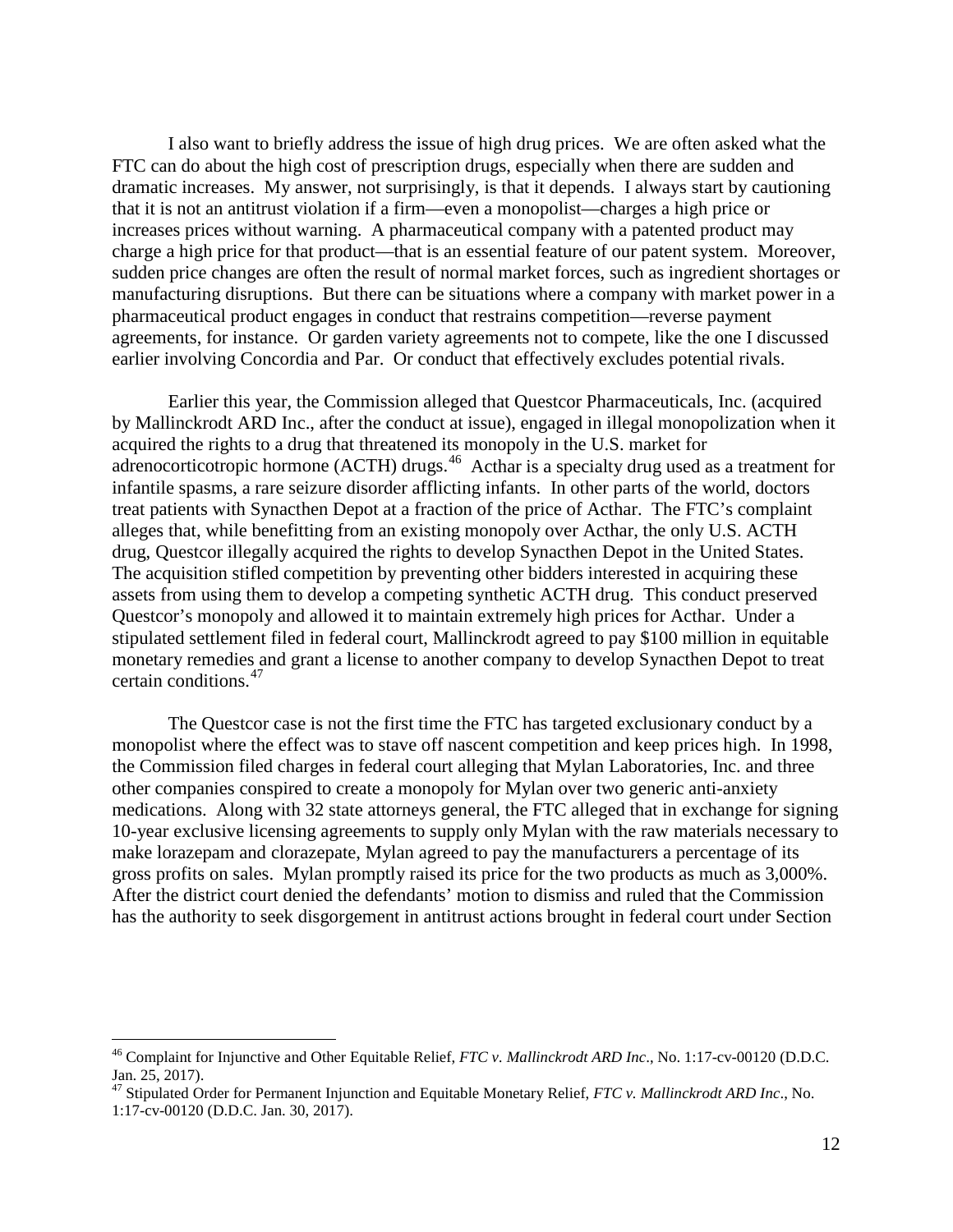I also want to briefly address the issue of high drug prices. We are often asked what the FTC can do about the high cost of prescription drugs, especially when there are sudden and dramatic increases. My answer, not surprisingly, is that it depends. I always start by cautioning that it is not an antitrust violation if a firm—even a monopolist—charges a high price or increases prices without warning. A pharmaceutical company with a patented product may charge a high price for that product—that is an essential feature of our patent system. Moreover, sudden price changes are often the result of normal market forces, such as ingredient shortages or manufacturing disruptions. But there can be situations where a company with market power in a pharmaceutical product engages in conduct that restrains competition—reverse payment agreements, for instance. Or garden variety agreements not to compete, like the one I discussed earlier involving Concordia and Par. Or conduct that effectively excludes potential rivals.

Earlier this year, the Commission alleged that Questcor Pharmaceuticals, Inc. (acquired by Mallinckrodt ARD Inc., after the conduct at issue), engaged in illegal monopolization when it acquired the rights to a drug that threatened its monopoly in the U.S. market for adrenocorticotropic hormone (ACTH) drugs.<sup>46</sup> Acthar is a specialty drug used as a treatment for infantile spasms, a rare seizure disorder afflicting infants. In other parts of the world, doctors treat patients with Synacthen Depot at a fraction of the price of Acthar. The FTC's complaint alleges that, while benefitting from an existing monopoly over Acthar, the only U.S. ACTH drug, Questcor illegally acquired the rights to develop Synacthen Depot in the United States. The acquisition stifled competition by preventing other bidders interested in acquiring these assets from using them to develop a competing synthetic ACTH drug. This conduct preserved Questcor's monopoly and allowed it to maintain extremely high prices for Acthar. Under a stipulated settlement filed in federal court, Mallinckrodt agreed to pay \$100 million in equitable monetary remedies and grant a license to another company to develop Synacthen Depot to treat certain conditions.[47](#page-11-1)

The Questcor case is not the first time the FTC has targeted exclusionary conduct by a monopolist where the effect was to stave off nascent competition and keep prices high. In 1998, the Commission filed charges in federal court alleging that Mylan Laboratories, Inc. and three other companies conspired to create a monopoly for Mylan over two generic anti-anxiety medications. Along with 32 state attorneys general, the FTC alleged that in exchange for signing 10-year exclusive licensing agreements to supply only Mylan with the raw materials necessary to make lorazepam and clorazepate, Mylan agreed to pay the manufacturers a percentage of its gross profits on sales. Mylan promptly raised its price for the two products as much as 3,000%. After the district court denied the defendants' motion to dismiss and ruled that the Commission has the authority to seek disgorgement in antitrust actions brought in federal court under Section

<span id="page-11-0"></span><sup>46</sup> Complaint for Injunctive and Other Equitable Relief, *FTC v. Mallinckrodt ARD Inc*., No. 1:17-cv-00120 (D.D.C. Jan. 25, 2017).

<span id="page-11-1"></span><sup>47</sup> Stipulated Order for Permanent Injunction and Equitable Monetary Relief, *FTC v. Mallinckrodt ARD Inc*., No. 1:17-cv-00120 (D.D.C. Jan. 30, 2017).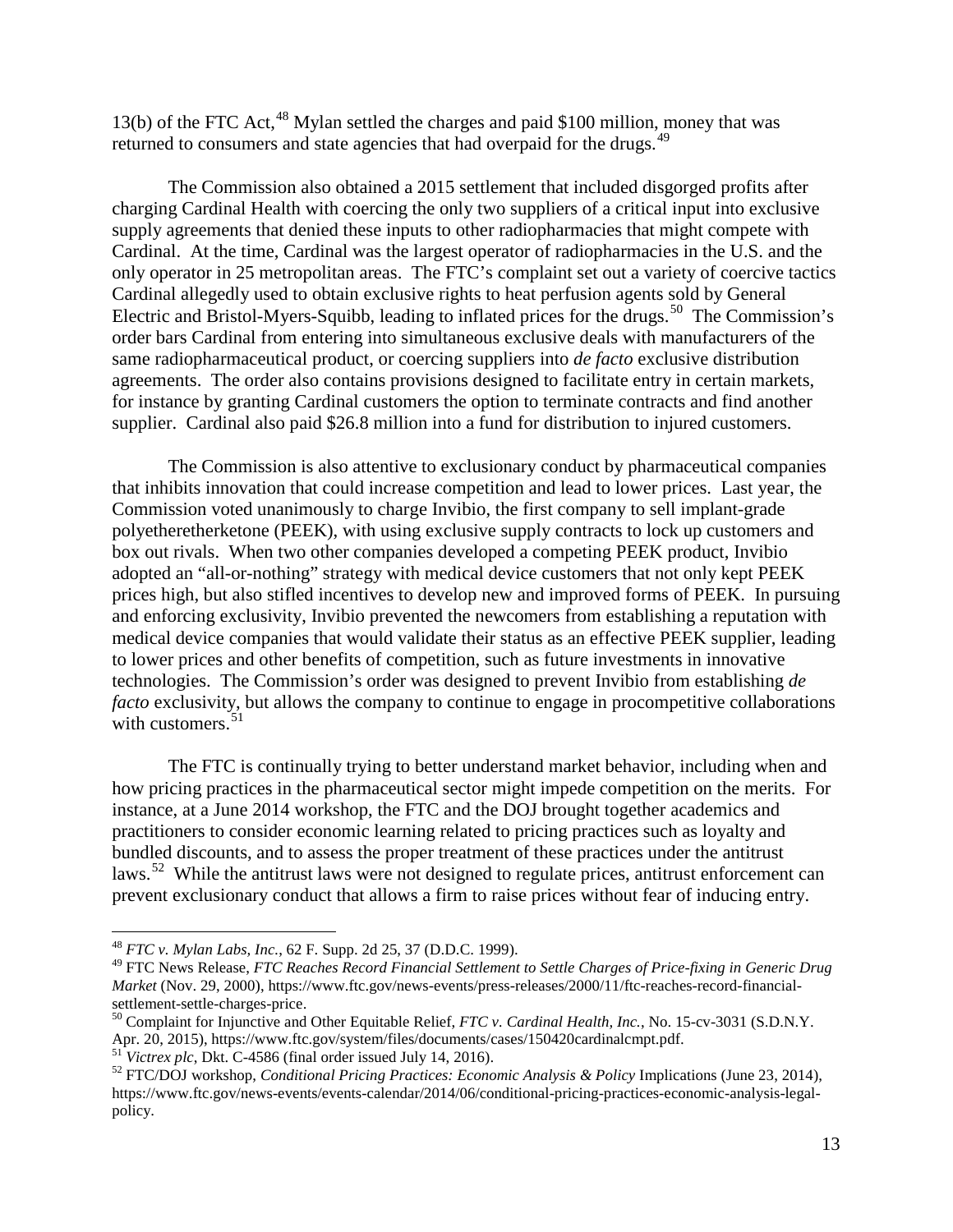13(b) of the FTC Act, $48$  Mylan settled the charges and paid \$100 million, money that was returned to consumers and state agencies that had overpaid for the drugs.<sup>[49](#page-12-1)</sup>

The Commission also obtained a 2015 settlement that included disgorged profits after charging Cardinal Health with coercing the only two suppliers of a critical input into exclusive supply agreements that denied these inputs to other radiopharmacies that might compete with Cardinal. At the time, Cardinal was the largest operator of radiopharmacies in the U.S. and the only operator in 25 metropolitan areas. The FTC's complaint set out a variety of coercive tactics Cardinal allegedly used to obtain exclusive rights to heat perfusion agents sold by General Electric and Bristol-Myers-Squibb, leading to inflated prices for the drugs.<sup>[50](#page-12-2)</sup> The Commission's order bars Cardinal from entering into simultaneous exclusive deals with manufacturers of the same radiopharmaceutical product, or coercing suppliers into *de facto* exclusive distribution agreements. The order also contains provisions designed to facilitate entry in certain markets, for instance by granting Cardinal customers the option to terminate contracts and find another supplier. Cardinal also paid \$26.8 million into a fund for distribution to injured customers.

The Commission is also attentive to exclusionary conduct by pharmaceutical companies that inhibits innovation that could increase competition and lead to lower prices. Last year, the Commission voted unanimously to charge Invibio, the first company to sell implant-grade polyetheretherketone (PEEK), with using exclusive supply contracts to lock up customers and box out rivals. When two other companies developed a competing PEEK product, Invibio adopted an "all-or-nothing" strategy with medical device customers that not only kept PEEK prices high, but also stifled incentives to develop new and improved forms of PEEK. In pursuing and enforcing exclusivity, Invibio prevented the newcomers from establishing a reputation with medical device companies that would validate their status as an effective PEEK supplier, leading to lower prices and other benefits of competition, such as future investments in innovative technologies. The Commission's order was designed to prevent Invibio from establishing *de facto* exclusivity, but allows the company to continue to engage in procompetitive collaborations with customers.<sup>[51](#page-12-3)</sup>

The FTC is continually trying to better understand market behavior, including when and how pricing practices in the pharmaceutical sector might impede competition on the merits. For instance, at a June 2014 workshop, the FTC and the DOJ brought together academics and practitioners to consider economic learning related to pricing practices such as loyalty and bundled discounts, and to assess the proper treatment of these practices under the antitrust laws.<sup>52</sup> While the antitrust laws were not designed to regulate prices, antitrust enforcement can prevent exclusionary conduct that allows a firm to raise prices without fear of inducing entry.

<span id="page-12-0"></span> <sup>48</sup> *FTC v. Mylan Labs, Inc.*, 62 F. Supp. 2d 25, 37 (D.D.C. 1999).

<span id="page-12-1"></span><sup>49</sup> FTC News Release, *FTC Reaches Record Financial Settlement to Settle Charges of Price-fixing in Generic Drug Market* (Nov. 29, 2000), https://www.ftc.gov/news-events/press-releases/2000/11/ftc-reaches-record-financial-

<span id="page-12-2"></span>settlement-settle-charges-price.<br><sup>50</sup> Complaint for Injunctive and Other Equitable Relief, *FTC v. Cardinal Health, Inc.*, No. 15-cv-3031 (S.D.N.Y.<br>Apr. 20, 2015), https://www.ftc.gov/system/files/documents/cases/150420car

<span id="page-12-4"></span>

<span id="page-12-3"></span><sup>&</sup>lt;sup>51</sup>Victrex plc, Dkt. C-4586 (final order issued July 14, 2016).<br><sup>51</sup>Victrex plc, Dkt. C-4586 (final order issued July 14, 2016).<br><sup>52</sup> FTC/DOJ workshop, *Conditional Pricing Practices: Economic Analysis & Policy* Implicati https://www.ftc.gov/news-events/events-calendar/2014/06/conditional-pricing-practices-economic-analysis-legalpolicy.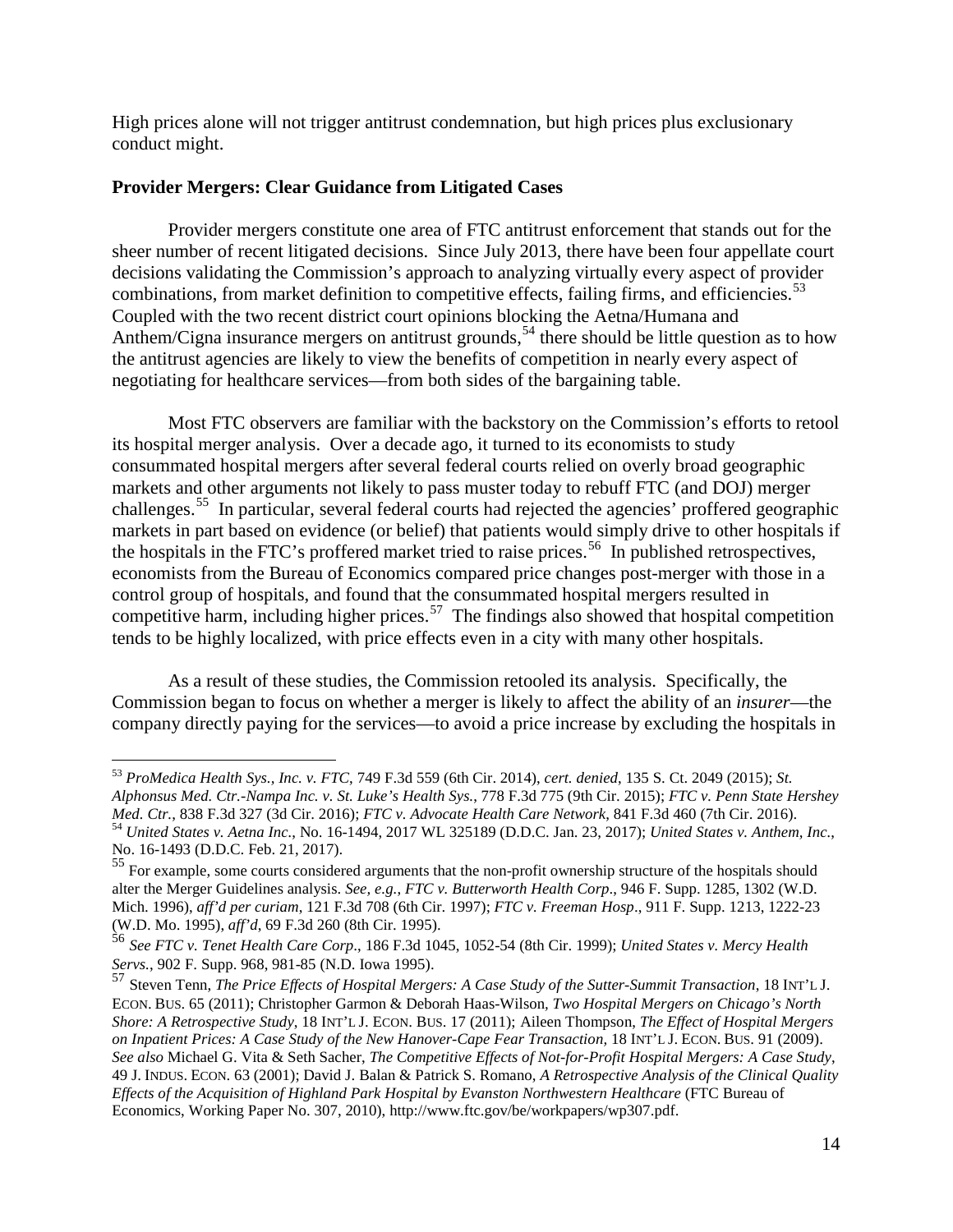High prices alone will not trigger antitrust condemnation, but high prices plus exclusionary conduct might.

## **Provider Mergers: Clear Guidance from Litigated Cases**

Provider mergers constitute one area of FTC antitrust enforcement that stands out for the sheer number of recent litigated decisions. Since July 2013, there have been four appellate court decisions validating the Commission's approach to analyzing virtually every aspect of provider combinations, from market definition to competitive effects, failing firms, and efficiencies.<sup>[53](#page-13-0)</sup> Coupled with the two recent district court opinions blocking the Aetna/Humana and Anthem/Cigna insurance mergers on antitrust grounds,<sup>[54](#page-13-1)</sup> there should be little question as to how the antitrust agencies are likely to view the benefits of competition in nearly every aspect of negotiating for healthcare services—from both sides of the bargaining table.

Most FTC observers are familiar with the backstory on the Commission's efforts to retool its hospital merger analysis. Over a decade ago, it turned to its economists to study consummated hospital mergers after several federal courts relied on overly broad geographic markets and other arguments not likely to pass muster today to rebuff FTC (and DOJ) merger challenges.[55](#page-13-2) In particular, several federal courts had rejected the agencies' proffered geographic markets in part based on evidence (or belief) that patients would simply drive to other hospitals if the hospitals in the FTC's proffered market tried to raise prices.<sup>[56](#page-13-3)</sup> In published retrospectives, economists from the Bureau of Economics compared price changes post-merger with those in a control group of hospitals, and found that the consummated hospital mergers resulted in competitive harm, including higher prices.<sup>[57](#page-13-4)</sup> The findings also showed that hospital competition tends to be highly localized, with price effects even in a city with many other hospitals.

As a result of these studies, the Commission retooled its analysis. Specifically, the Commission began to focus on whether a merger is likely to affect the ability of an *insurer*—the company directly paying for the services—to avoid a price increase by excluding the hospitals in

<span id="page-13-0"></span> <sup>53</sup> *ProMedica Health Sys., Inc. v. FTC*, 749 F.3d 559 (6th Cir. 2014), *cert. denied*, 135 S. Ct. 2049 (2015); *St. Alphonsus Med. Ctr.-Nampa Inc. v. St. Luke's Health Sys.*, 778 F.3d 775 (9th Cir. 2015); *FTC v. Penn State Hershey*  Med. Ctr., 838 F.3d 327 (3d Cir. 2016); FTC v. Advocate Health Care Network, 841 F.3d 460 (7th Cir. 2016).<br><sup>54</sup> United States v. Aetna Inc., No. 16-1494, 2017 WL 325189 (D.D.C. Jan. 23, 2017); United States v. Anthem, Inc. No. 16-1493 (D.D.C. Feb. 21, 2017).

<span id="page-13-2"></span><span id="page-13-1"></span><sup>&</sup>lt;sup>55</sup> For example, some courts considered arguments that the non-profit ownership structure of the hospitals should alter the Merger Guidelines analysis. *See, e.g.*, *FTC v. Butterworth Health Corp*., 946 F. Supp. 1285, 1302 (W.D. Mich. 1996), *aff'd per curiam*, 121 F.3d 708 (6th Cir. 1997); *FTC v. Freeman Hosp*., 911 F. Supp. 1213, 1222-23 (W.D. Mo. 1995), *aff'd*, 69 F.3d 260 (8th Cir. 1995).

<span id="page-13-3"></span><sup>56</sup> *See FTC v. Tenet Health Care Corp*., 186 F.3d 1045, 1052-54 (8th Cir. 1999); *United States v. Mercy Health Servs.*, 902 F. Supp. 968, 981-85 (N.D. Iowa 1995).

<span id="page-13-4"></span><sup>57</sup> Steven Tenn, *The Price Effects of Hospital Mergers: A Case Study of the Sutter-Summit Transaction*, 18 INT'L J. ECON. BUS. 65 (2011); Christopher Garmon & Deborah Haas-Wilson*, Two Hospital Mergers on Chicago's North Shore: A Retrospective Study*, 18 INT'L J. ECON. BUS. 17 (2011); Aileen Thompson, *The Effect of Hospital Mergers on Inpatient Prices: A Case Study of the New Hanover-Cape Fear Transaction,* 18 INT'L J. ECON. BUS. 91 (2009). *See also* Michael G. Vita & Seth Sacher, *The Competitive Effects of Not-for-Profit Hospital Mergers: A Case Study*, 49 J. INDUS. ECON. 63 (2001); David J. Balan & Patrick S. Romano, *A Retrospective Analysis of the Clinical Quality Effects of the Acquisition of Highland Park Hospital by Evanston Northwestern Healthcare* (FTC Bureau of Economics, Working Paper No. 307, 2010), http://www.ftc.gov/be/workpapers/wp307.pdf.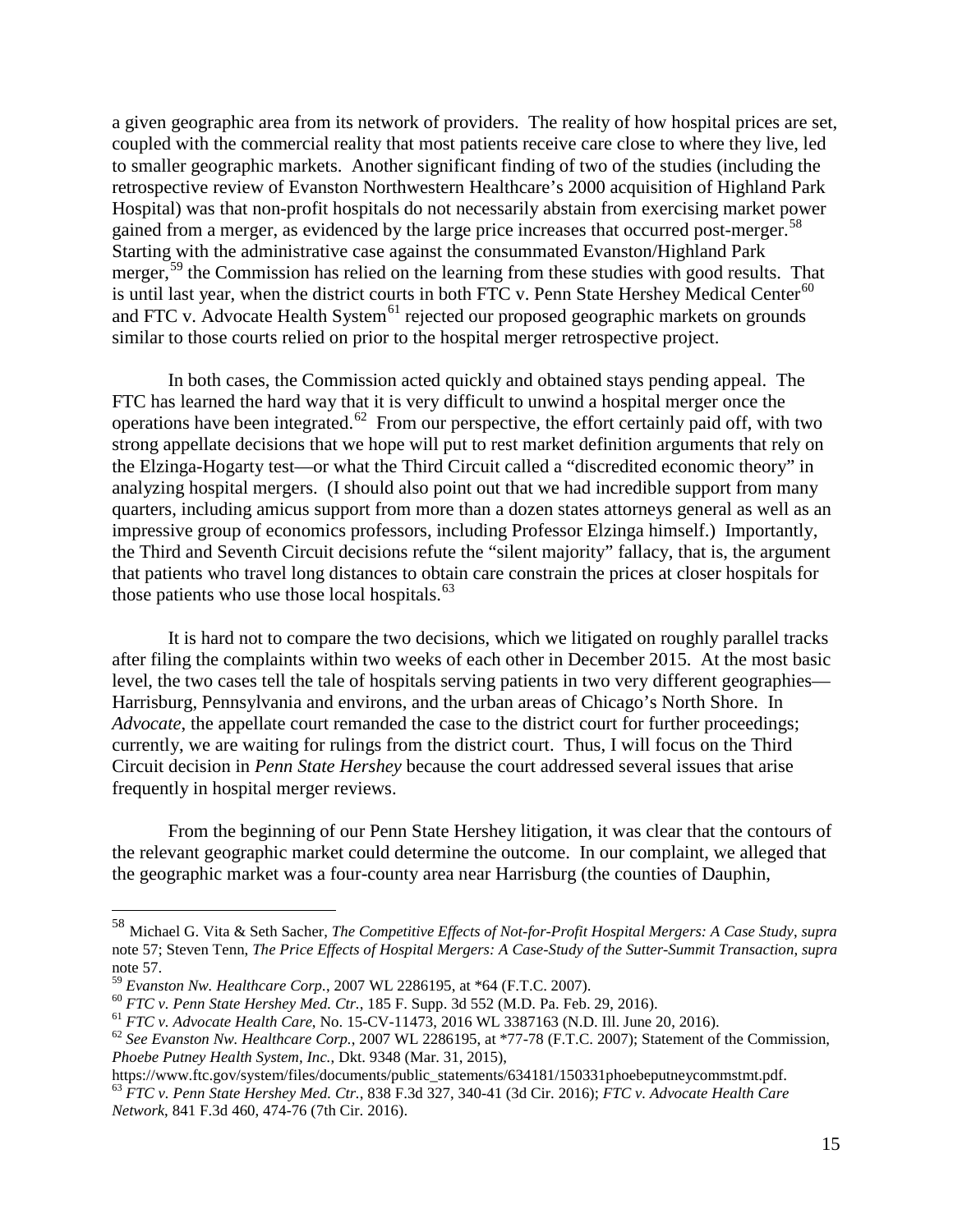a given geographic area from its network of providers. The reality of how hospital prices are set, coupled with the commercial reality that most patients receive care close to where they live, led to smaller geographic markets. Another significant finding of two of the studies (including the retrospective review of Evanston Northwestern Healthcare's 2000 acquisition of Highland Park Hospital) was that non-profit hospitals do not necessarily abstain from exercising market power gained from a merger, as evidenced by the large price increases that occurred post-merger.<sup>58</sup> Starting with the administrative case against the consummated Evanston/Highland Park merger,<sup>[59](#page-14-1)</sup> the Commission has relied on the learning from these studies with good results. That is until last year, when the district courts in both FTC v. Penn State Hershey Medical Center $^{60}$  $^{60}$  $^{60}$ and FTC v. Advocate Health System $<sup>61</sup>$  $<sup>61</sup>$  $<sup>61</sup>$  rejected our proposed geographic markets on grounds</sup> similar to those courts relied on prior to the hospital merger retrospective project.

 In both cases, the Commission acted quickly and obtained stays pending appeal. The FTC has learned the hard way that it is very difficult to unwind a hospital merger once the operations have been integrated.<sup>62</sup> From our perspective, the effort certainly paid off, with two strong appellate decisions that we hope will put to rest market definition arguments that rely on the Elzinga-Hogarty test—or what the Third Circuit called a "discredited economic theory" in analyzing hospital mergers. (I should also point out that we had incredible support from many quarters, including amicus support from more than a dozen states attorneys general as well as an impressive group of economics professors, including Professor Elzinga himself.) Importantly, the Third and Seventh Circuit decisions refute the "silent majority" fallacy, that is, the argument that patients who travel long distances to obtain care constrain the prices at closer hospitals for those patients who use those local hospitals. $63$ 

It is hard not to compare the two decisions, which we litigated on roughly parallel tracks after filing the complaints within two weeks of each other in December 2015. At the most basic level, the two cases tell the tale of hospitals serving patients in two very different geographies— Harrisburg, Pennsylvania and environs, and the urban areas of Chicago's North Shore. In *Advocate*, the appellate court remanded the case to the district court for further proceedings; currently, we are waiting for rulings from the district court. Thus, I will focus on the Third Circuit decision in *Penn State Hershey* because the court addressed several issues that arise frequently in hospital merger reviews.

 From the beginning of our Penn State Hershey litigation, it was clear that the contours of the relevant geographic market could determine the outcome. In our complaint, we alleged that the geographic market was a four-county area near Harrisburg (the counties of Dauphin,

<span id="page-14-0"></span><sup>58</sup> Michael G. Vita & Seth Sacher, *The Competitive Effects of Not-for-Profit Hospital Mergers: A Case Study*, *supra*  note 57; Steven Tenn, *The Price Effects of Hospital Mergers: A Case-Study of the Sutter-Summit Transaction*, *supra*  note 57.<br><sup>59</sup> Evanston Nw. Healthcare Corp., 2007 WL 2286195, at \*64 (F.T.C. 2007).<br><sup>60</sup> FTC v. Penn State Hershey Med. Ctr., 185 F. Supp. 3d 552 (M.D. Pa. Feb. 29, 2016).<br><sup>61</sup> FTC v. Advocate Health Care, No. 15-CV-11473,

<span id="page-14-1"></span>

<span id="page-14-3"></span><span id="page-14-2"></span>

<span id="page-14-4"></span>*Phoebe Putney Health System, Inc.*, Dkt. 9348 (Mar. 31, 2015),<br>https://www.ftc.gov/system/files/documents/public\_statements/634181/150331phoebeputneycommstmt.pdf.

<span id="page-14-5"></span>https://www.ftc.gov/system/files/documents/public\_statements/634181/150331phoebeputneycommstmt.pdf. 63 *FTC v. Penn State Hershey Med. Ctr.*, 838 F.3d 327, 340-41 (3d Cir. 2016); *FTC v. Advocate Health Care Network*, 841 F.3d 460, 474-76 (7th Cir. 2016).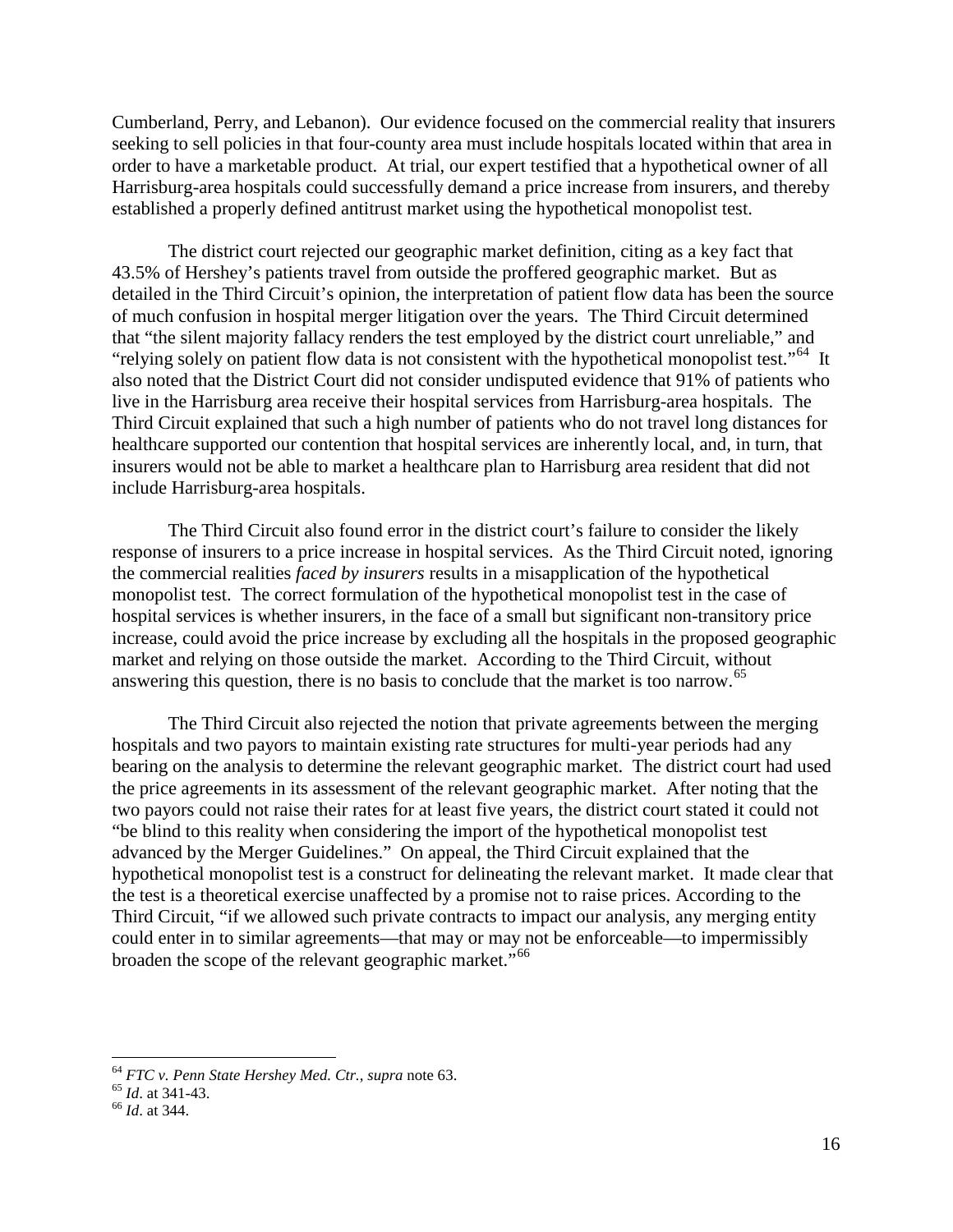Cumberland, Perry, and Lebanon). Our evidence focused on the commercial reality that insurers seeking to sell policies in that four-county area must include hospitals located within that area in order to have a marketable product. At trial, our expert testified that a hypothetical owner of all Harrisburg-area hospitals could successfully demand a price increase from insurers, and thereby established a properly defined antitrust market using the hypothetical monopolist test.

 The district court rejected our geographic market definition, citing as a key fact that 43.5% of Hershey's patients travel from outside the proffered geographic market. But as detailed in the Third Circuit's opinion, the interpretation of patient flow data has been the source of much confusion in hospital merger litigation over the years. The Third Circuit determined that "the silent majority fallacy renders the test employed by the district court unreliable," and "relying solely on patient flow data is not consistent with the hypothetical monopolist test."<sup>[64](#page-15-0)</sup> It also noted that the District Court did not consider undisputed evidence that 91% of patients who live in the Harrisburg area receive their hospital services from Harrisburg-area hospitals. The Third Circuit explained that such a high number of patients who do not travel long distances for healthcare supported our contention that hospital services are inherently local, and, in turn, that insurers would not be able to market a healthcare plan to Harrisburg area resident that did not include Harrisburg-area hospitals.

 The Third Circuit also found error in the district court's failure to consider the likely response of insurers to a price increase in hospital services. As the Third Circuit noted, ignoring the commercial realities *faced by insurers* results in a misapplication of the hypothetical monopolist test. The correct formulation of the hypothetical monopolist test in the case of hospital services is whether insurers, in the face of a small but significant non-transitory price increase, could avoid the price increase by excluding all the hospitals in the proposed geographic market and relying on those outside the market. According to the Third Circuit, without answering this question, there is no basis to conclude that the market is too narrow.<sup>65</sup>

The Third Circuit also rejected the notion that private agreements between the merging hospitals and two payors to maintain existing rate structures for multi-year periods had any bearing on the analysis to determine the relevant geographic market. The district court had used the price agreements in its assessment of the relevant geographic market. After noting that the two payors could not raise their rates for at least five years, the district court stated it could not "be blind to this reality when considering the import of the hypothetical monopolist test advanced by the Merger Guidelines." On appeal, the Third Circuit explained that the hypothetical monopolist test is a construct for delineating the relevant market. It made clear that the test is a theoretical exercise unaffected by a promise not to raise prices. According to the Third Circuit, "if we allowed such private contracts to impact our analysis, any merging entity could enter in to similar agreements—that may or may not be enforceable—to impermissibly broaden the scope of the relevant geographic market."<sup>66</sup>

<span id="page-15-1"></span><span id="page-15-0"></span><sup>64</sup> *FTC v. Penn State Hershey Med. Ctr.*, *supra* note 63. 65 *Id*. at 341-43. <sup>66</sup> *Id*. at 344.

<span id="page-15-2"></span>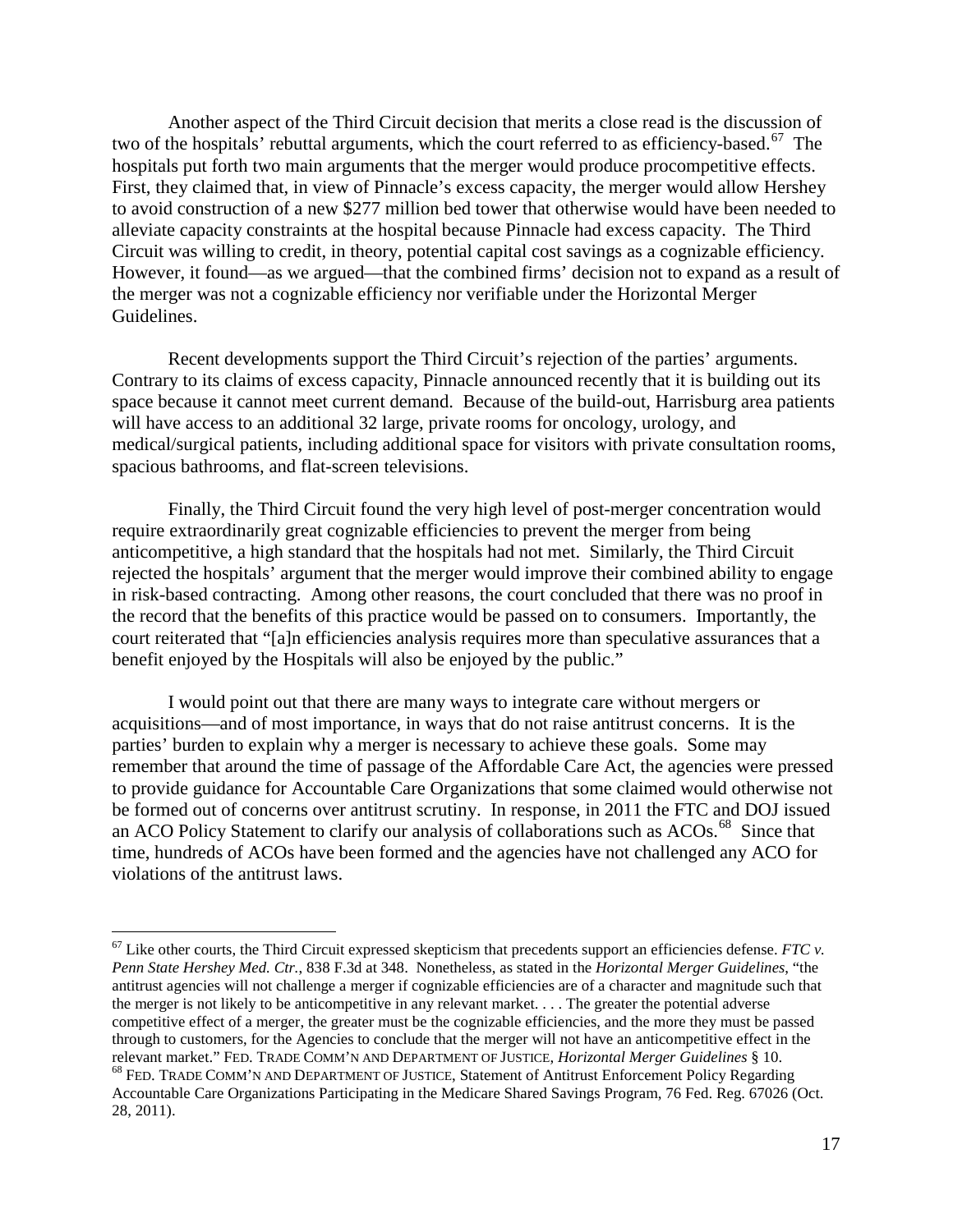Another aspect of the Third Circuit decision that merits a close read is the discussion of two of the hospitals' rebuttal arguments, which the court referred to as efficiency-based.<sup>67</sup> The hospitals put forth two main arguments that the merger would produce procompetitive effects. First, they claimed that, in view of Pinnacle's excess capacity, the merger would allow Hershey to avoid construction of a new \$277 million bed tower that otherwise would have been needed to alleviate capacity constraints at the hospital because Pinnacle had excess capacity. The Third Circuit was willing to credit, in theory, potential capital cost savings as a cognizable efficiency. However, it found—as we argued—that the combined firms' decision not to expand as a result of the merger was not a cognizable efficiency nor verifiable under the Horizontal Merger Guidelines.

Recent developments support the Third Circuit's rejection of the parties' arguments. Contrary to its claims of excess capacity, Pinnacle announced recently that it is building out its space because it cannot meet current demand. Because of the build-out, Harrisburg area patients will have access to an additional 32 large, private rooms for oncology, urology, and medical/surgical patients, including additional space for visitors with private consultation rooms, spacious bathrooms, and flat-screen televisions.

Finally, the Third Circuit found the very high level of post-merger concentration would require extraordinarily great cognizable efficiencies to prevent the merger from being anticompetitive, a high standard that the hospitals had not met. Similarly, the Third Circuit rejected the hospitals' argument that the merger would improve their combined ability to engage in risk-based contracting. Among other reasons, the court concluded that there was no proof in the record that the benefits of this practice would be passed on to consumers. Importantly, the court reiterated that "[a]n efficiencies analysis requires more than speculative assurances that a benefit enjoyed by the Hospitals will also be enjoyed by the public."

I would point out that there are many ways to integrate care without mergers or acquisitions—and of most importance, in ways that do not raise antitrust concerns. It is the parties' burden to explain why a merger is necessary to achieve these goals. Some may remember that around the time of passage of the Affordable Care Act, the agencies were pressed to provide guidance for Accountable Care Organizations that some claimed would otherwise not be formed out of concerns over antitrust scrutiny. In response, in 2011 the FTC and DOJ issued an ACO Policy Statement to clarify our analysis of collaborations such as ACOs.<sup>[68](#page-16-1)</sup> Since that time, hundreds of ACOs have been formed and the agencies have not challenged any ACO for violations of the antitrust laws.

<span id="page-16-0"></span> $67$  Like other courts, the Third Circuit expressed skepticism that precedents support an efficiencies defense. *FTC v*. *Penn State Hershey Med. Ctr.*, 838 F.3d at 348. Nonetheless, as stated in the *Horizontal Merger Guidelines*, "the antitrust agencies will not challenge a merger if cognizable efficiencies are of a character and magnitude such that the merger is not likely to be anticompetitive in any relevant market. . . . The greater the potential adverse competitive effect of a merger, the greater must be the cognizable efficiencies, and the more they must be passed through to customers, for the Agencies to conclude that the merger will not have an anticompetitive effect in the relevant market." FED. TRADE COMM'N AND DEPARTMENT OF JUSTICE, *Horizontal Merger Guidelines* § 10. <sup>68</sup> FED. TRADE COMM'N AND DEPARTMENT OF JUSTICE, Statement of Antitrust Enforcement Policy Regarding

<span id="page-16-1"></span>Accountable Care Organizations Participating in the Medicare Shared Savings Program, 76 Fed. Reg. 67026 (Oct. 28, 2011).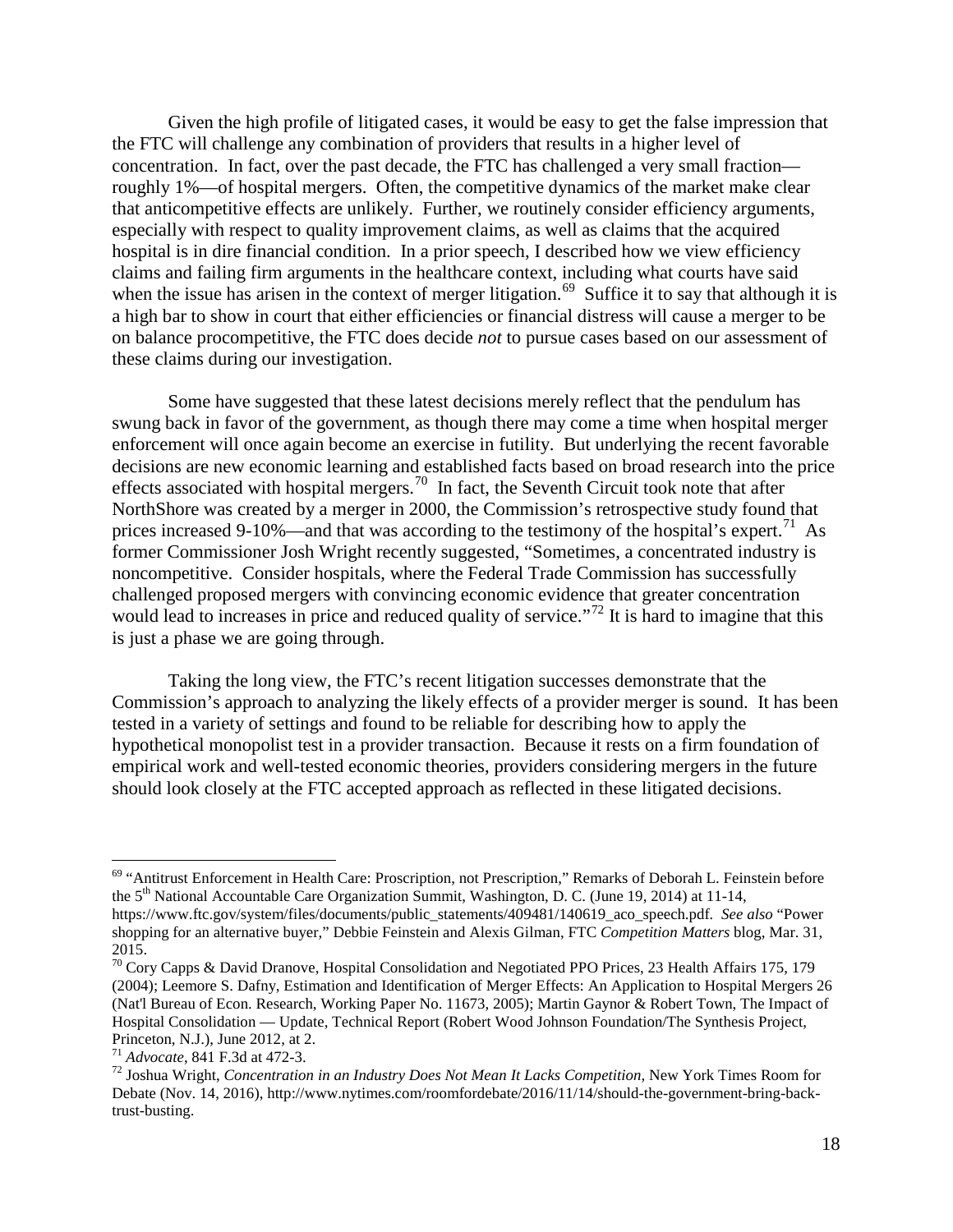Given the high profile of litigated cases, it would be easy to get the false impression that the FTC will challenge any combination of providers that results in a higher level of concentration. In fact, over the past decade, the FTC has challenged a very small fraction roughly 1%—of hospital mergers. Often, the competitive dynamics of the market make clear that anticompetitive effects are unlikely. Further, we routinely consider efficiency arguments, especially with respect to quality improvement claims, as well as claims that the acquired hospital is in dire financial condition. In a prior speech, I described how we view efficiency claims and failing firm arguments in the healthcare context, including what courts have said when the issue has arisen in the context of merger litigation.<sup>69</sup> Suffice it to say that although it is a high bar to show in court that either efficiencies or financial distress will cause a merger to be on balance procompetitive, the FTC does decide *not* to pursue cases based on our assessment of these claims during our investigation.

Some have suggested that these latest decisions merely reflect that the pendulum has swung back in favor of the government, as though there may come a time when hospital merger enforcement will once again become an exercise in futility. But underlying the recent favorable decisions are new economic learning and established facts based on broad research into the price effects associated with hospital mergers.<sup>70</sup> In fact, the Seventh Circuit took note that after NorthShore was created by a merger in 2000, the Commission's retrospective study found that prices increased 9-10%—and that was according to the testimony of the hospital's expert.<sup>71</sup> As former Commissioner Josh Wright recently suggested, "Sometimes, a concentrated industry is noncompetitive. Consider hospitals, where the Federal Trade Commission has successfully challenged proposed mergers with convincing economic evidence that greater concentration would lead to increases in price and reduced quality of service."<sup>[72](#page-17-3)</sup> It is hard to imagine that this is just a phase we are going through.

 Taking the long view, the FTC's recent litigation successes demonstrate that the Commission's approach to analyzing the likely effects of a provider merger is sound. It has been tested in a variety of settings and found to be reliable for describing how to apply the hypothetical monopolist test in a provider transaction. Because it rests on a firm foundation of empirical work and well-tested economic theories, providers considering mergers in the future should look closely at the FTC accepted approach as reflected in these litigated decisions.

<span id="page-17-0"></span><sup>&</sup>lt;sup>69</sup> "Antitrust Enforcement in Health Care: Proscription, not Prescription," Remarks of Deborah L. Feinstein before the 5<sup>th</sup> National Accountable Care Organization Summit, Washington, D. C. (June 19, 2014) at 11-14, https://www.ftc.gov/system/files/documents/public\_statements/409481/140619\_aco\_speech.pdf*. See also* "Power shopping for an alternative buyer*,*" Debbie Feinstein and Alexis Gilman, FTC *Competition Matters* blog, Mar. 31, 2015.

<span id="page-17-1"></span> $70$  Cory Capps & David Dranove, Hospital Consolidation and Negotiated PPO Prices, 23 Health Affairs 175, 179 (2004); Leemore S. Dafny, Estimation and Identification of Merger Effects: An Application to Hospital Mergers 26 (Nat'l Bureau of Econ. Research, Working Paper No. 11673, 2005); Martin Gaynor & Robert Town, The Impact of Hospital Consolidation — Update, Technical Report (Robert Wood Johnson Foundation/The Synthesis Project,

<span id="page-17-3"></span>

<span id="page-17-2"></span><sup>&</sup>lt;sup>71</sup> Advocate, 841 F.3d at 472-3.<br><sup>72</sup> Joshua Wright, *Concentration in an Industry Does Not Mean It Lacks Competition*, New York Times Room for Debate (Nov. 14, 2016), http://www.nytimes.com/roomfordebate/2016/11/14/should-the-government-bring-backtrust-busting.